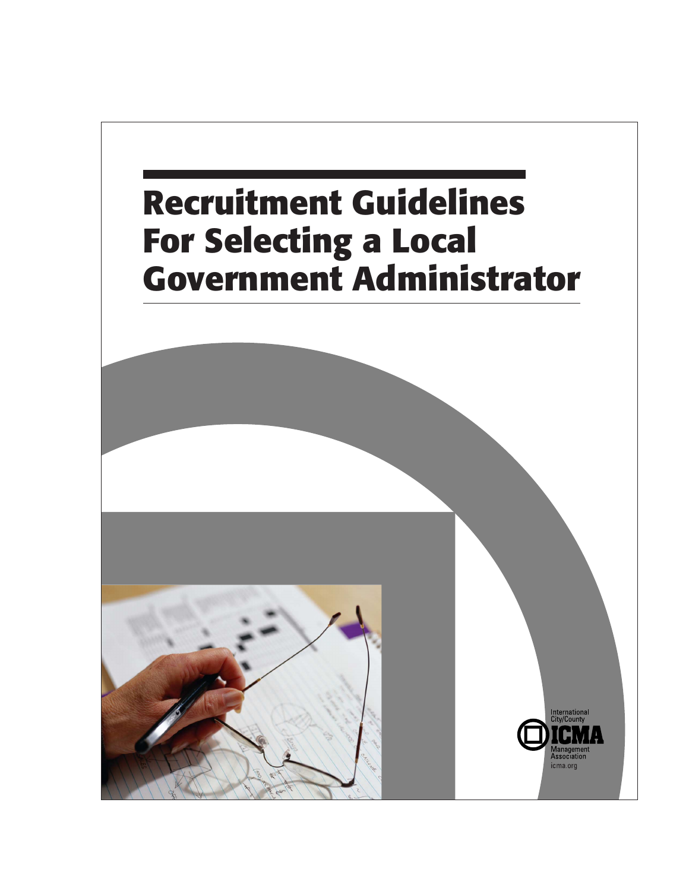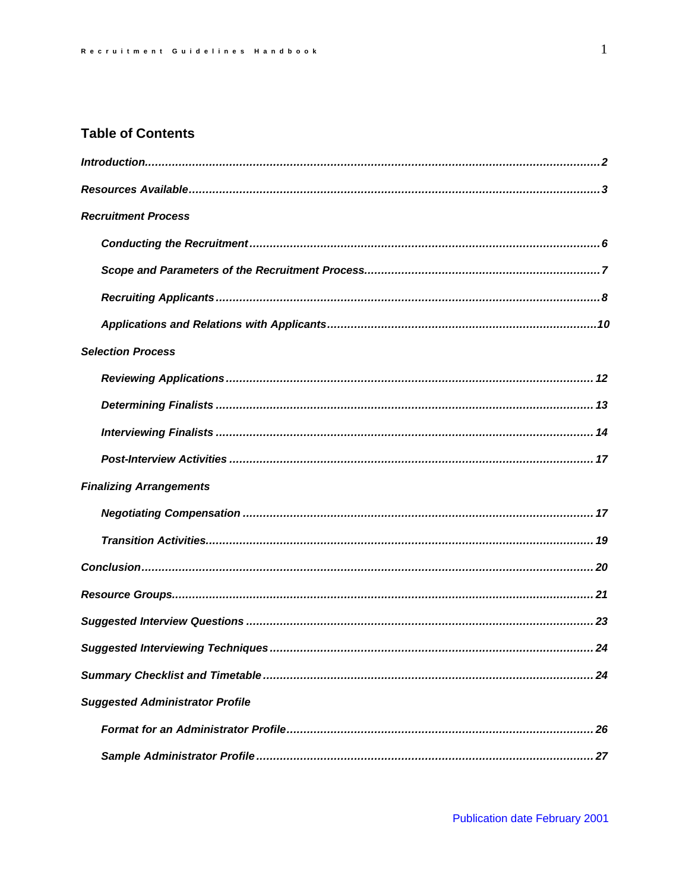# **Table of Contents**

| <b>Recruitment Process</b>             |
|----------------------------------------|
|                                        |
|                                        |
|                                        |
|                                        |
| <b>Selection Process</b>               |
|                                        |
|                                        |
|                                        |
|                                        |
| <b>Finalizing Arrangements</b>         |
|                                        |
|                                        |
|                                        |
|                                        |
|                                        |
|                                        |
| 24                                     |
| <b>Suggested Administrator Profile</b> |
|                                        |
|                                        |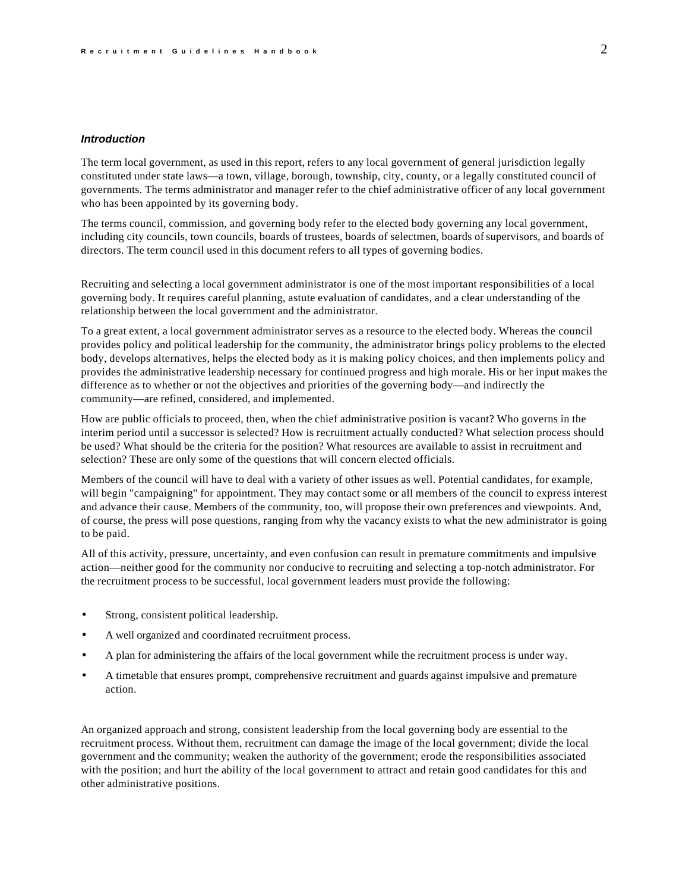# *Introduction*

The term local government, as used in this report, refers to any local government of general jurisdiction legally constituted under state laws—a town, village, borough, township, city, county, or a legally constituted council of governments. The terms administrator and manager refer to the chief administrative officer of any local government who has been appointed by its governing body.

The terms council, commission, and governing body refer to the elected body governing any local government, including city councils, town councils, boards of trustees, boards of selectmen, boards of supervisors, and boards of directors. The term council used in this document refers to all types of governing bodies.

Recruiting and selecting a local government administrator is one of the most important responsibilities of a local governing body. It requires careful planning, astute evaluation of candidates, and a clear understanding of the relationship between the local government and the administrator.

To a great extent, a local government administrator serves as a resource to the elected body. Whereas the council provides policy and political leadership for the community, the administrator brings policy problems to the elected body, develops alternatives, helps the elected body as it is making policy choices, and then implements policy and provides the administrative leadership necessary for continued progress and high morale. His or her input makes the difference as to whether or not the objectives and priorities of the governing body—and indirectly the community—are refined, considered, and implemented.

How are public officials to proceed, then, when the chief administrative position is vacant? Who governs in the interim period until a successor is selected? How is recruitment actually conducted? What selection process should be used? What should be the criteria for the position? What resources are available to assist in recruitment and selection? These are only some of the questions that will concern elected officials.

Members of the council will have to deal with a variety of other issues as well. Potential candidates, for example, will begin "campaigning" for appointment. They may contact some or all members of the council to express interest and advance their cause. Members of the community, too, will propose their own preferences and viewpoints. And, of course, the press will pose questions, ranging from why the vacancy exists to what the new administrator is going to be paid.

All of this activity, pressure, uncertainty, and even confusion can result in premature commitments and impulsive action—neither good for the community nor conducive to recruiting and selecting a top-notch administrator. For the recruitment process to be successful, local government leaders must provide the following:

- Strong, consistent political leadership.
- A well organized and coordinated recruitment process.
- A plan for administering the affairs of the local government while the recruitment process is under way.
- A timetable that ensures prompt, comprehensive recruitment and guards against impulsive and premature action.

An organized approach and strong, consistent leadership from the local governing body are essential to the recruitment process. Without them, recruitment can damage the image of the local government; divide the local government and the community; weaken the authority of the government; erode the responsibilities associated with the position; and hurt the ability of the local government to attract and retain good candidates for this and other administrative positions.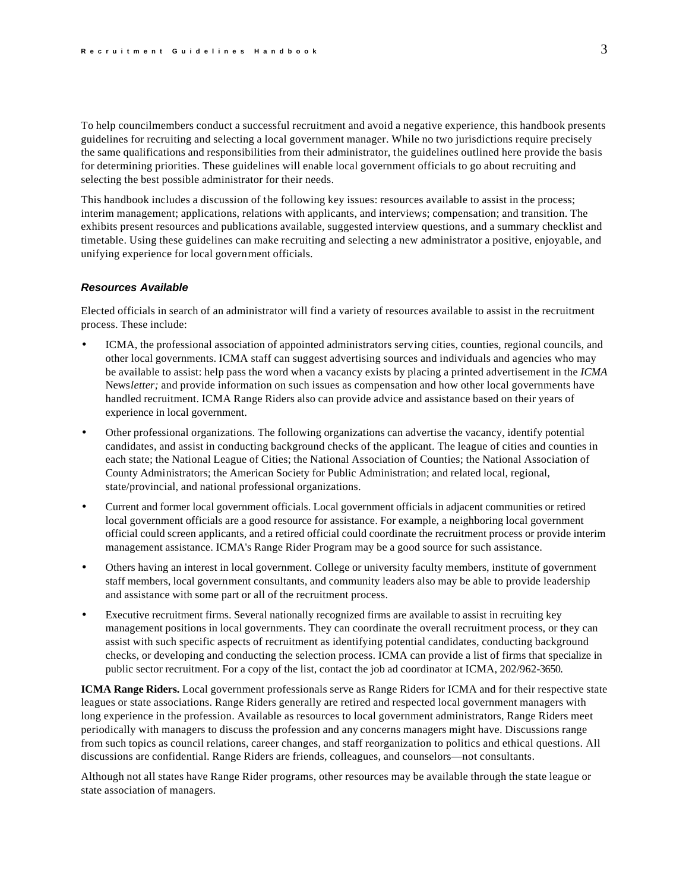<span id="page-3-0"></span>To help councilmembers conduct a successful recruitment and avoid a negative experience, this handbook presents guidelines for recruiting and selecting a local government manager. While no two jurisdictions require precisely the same qualifications and responsibilities from their administrator, the guidelines outlined here provide the basis for determining priorities. These guidelines will enable local government officials to go about recruiting and selecting the best possible administrator for their needs.

This handbook includes a discussion of the following key issues: resources available to assist in the process; interim management; applications, relations with applicants, and interviews; compensation; and transition. The exhibits present resources and publications available, suggested interview questions, and a summary checklist and timetable. Using these guidelines can make recruiting and selecting a new administrator a positive, enjoyable, and unifying experience for local government officials.

### *Resources Available*

Elected officials in search of an administrator will find a variety of resources available to assist in the recruitment process. These include:

- ICMA, the professional association of appointed administrators serving cities, counties, regional councils, and other local governments. ICMA staff can suggest advertising sources and individuals and agencies who may be available to assist: help pass the word when a vacancy exists by placing a printed advertisement in the *ICMA*  News*letter;* and provide information on such issues as compensation and how other local governments have handled recruitment. ICMA Range Riders also can provide advice and assistance based on their years of experience in local government.
- Other professional organizations. The following organizations can advertise the vacancy, identify potential candidates, and assist in conducting background checks of the applicant. The league of cities and counties in each state; the National League of Cities; the National Association of Counties; the National Association of County Administrators; the American Society for Public Administration; and related local, regional, state/provincial, and national professional organizations.
- Current and former local government officials. Local government officials in adjacent communities or retired local government officials are a good resource for assistance. For example, a neighboring local government official could screen applicants, and a retired official could coordinate the recruitment process or provide interim management assistance. ICMA's Range Rider Program may be a good source for such assistance.
- Others having an interest in local government. College or university faculty members, institute of government staff members, local government consultants, and community leaders also may be able to provide leadership and assistance with some part or all of the recruitment process.
- Executive recruitment firms. Several nationally recognized firms are available to assist in recruiting key management positions in local governments. They can coordinate the overall recruitment process, or they can assist with such specific aspects of recruitment as identifying potential candidates, conducting background checks, or developing and conducting the selection process. ICMA can provide a list of firms that specialize in public sector recruitment. For a copy of the list, contact the job ad coordinator at ICMA, 202/962-3650.

**ICMA Range Riders.** Local government professionals serve as Range Riders for ICMA and for their respective state leagues or state associations. Range Riders generally are retired and respected local government managers with long experience in the profession. Available as resources to local government administrators, Range Riders meet periodically with managers to discuss the profession and any concerns managers might have. Discussions range from such topics as council relations, career changes, and staff reorganization to politics and ethical questions. All discussions are confidential. Range Riders are friends, colleagues, and counselors—not consultants.

Although not all states have Range Rider programs, other resources may be available through the state league or state association of managers.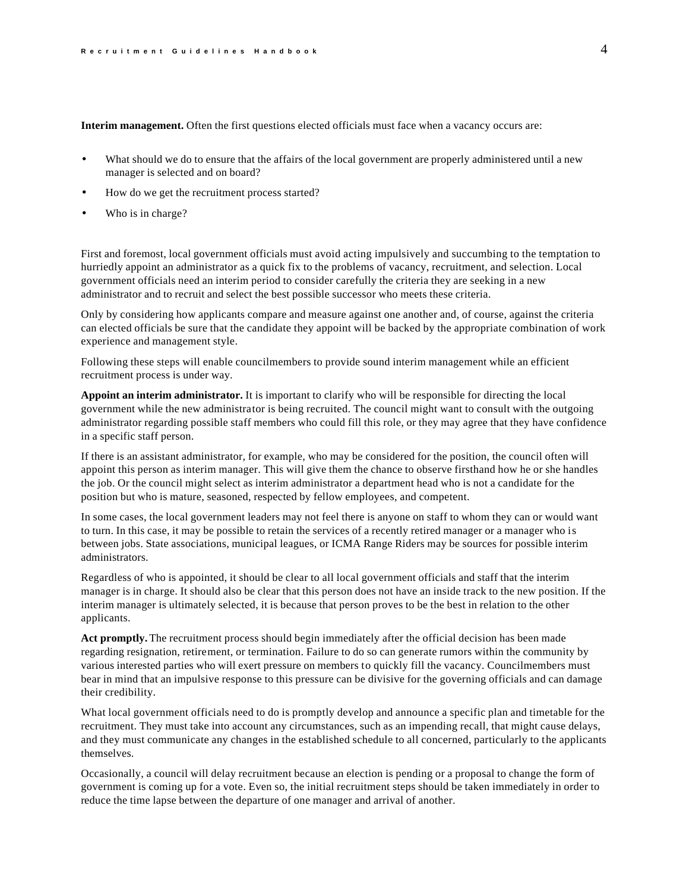**Interim management.** Often the first questions elected officials must face when a vacancy occurs are:

- What should we do to ensure that the affairs of the local government are properly administered until a new manager is selected and on board?
- How do we get the recruitment process started?
- Who is in charge?

First and foremost, local government officials must avoid acting impulsively and succumbing to the temptation to hurriedly appoint an administrator as a quick fix to the problems of vacancy, recruitment, and selection. Local government officials need an interim period to consider carefully the criteria they are seeking in a new administrator and to recruit and select the best possible successor who meets these criteria.

Only by considering how applicants compare and measure against one another and, of course, against the criteria can elected officials be sure that the candidate they appoint will be backed by the appropriate combination of work experience and management style.

Following these steps will enable councilmembers to provide sound interim management while an efficient recruitment process is under way.

**Appoint an interim administrator.** It is important to clarify who will be responsible for directing the local government while the new administrator is being recruited. The council might want to consult with the outgoing administrator regarding possible staff members who could fill this role, or they may agree that they have confidence in a specific staff person.

If there is an assistant administrator, for example, who may be considered for the position, the council often will appoint this person as interim manager. This will give them the chance to observe firsthand how he or she handles the job. Or the council might select as interim administrator a department head who is not a candidate for the position but who is mature, seasoned, respected by fellow employees, and competent.

In some cases, the local government leaders may not feel there is anyone on staff to whom they can or would want to turn. In this case, it may be possible to retain the services of a recently retired manager or a manager who is between jobs. State associations, municipal leagues, or ICMA Range Riders may be sources for possible interim administrators.

Regardless of who is appointed, it should be clear to all local government officials and staff that the interim manager is in charge. It should also be clear that this person does not have an inside track to the new position. If the interim manager is ultimately selected, it is because that person proves to be the best in relation to the other applicants.

**Act promptly.** The recruitment process should begin immediately after the official decision has been made regarding resignation, retirement, or termination. Failure to do so can generate rumors within the community by various interested parties who will exert pressure on members to quickly fill the vacancy. Councilmembers must bear in mind that an impulsive response to this pressure can be divisive for the governing officials and can damage their credibility.

What local government officials need to do is promptly develop and announce a specific plan and timetable for the recruitment. They must take into account any circumstances, such as an impending recall, that might cause delays, and they must communicate any changes in the established schedule to all concerned, particularly to the applicants themselves.

Occasionally, a council will delay recruitment because an election is pending or a proposal to change the form of government is coming up for a vote. Even so, the initial recruitment steps should be taken immediately in order to reduce the time lapse between the departure of one manager and arrival of another.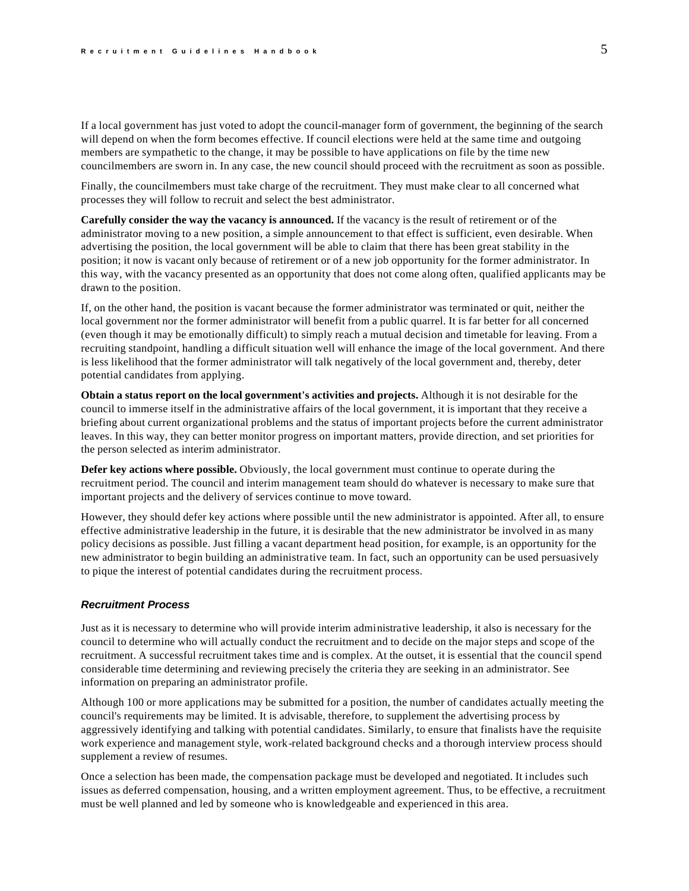If a local government has just voted to adopt the council-manager form of government, the beginning of the search will depend on when the form becomes effective. If council elections were held at the same time and outgoing members are sympathetic to the change, it may be possible to have applications on file by the time new councilmembers are sworn in. In any case, the new council should proceed with the recruitment as soon as possible.

Finally, the councilmembers must take charge of the recruitment. They must make clear to all concerned what processes they will follow to recruit and select the best administrator.

**Carefully consider the way the vacancy is announced.** If the vacancy is the result of retirement or of the administrator moving to a new position, a simple announcement to that effect is sufficient, even desirable. When advertising the position, the local government will be able to claim that there has been great stability in the position; it now is vacant only because of retirement or of a new job opportunity for the former administrator. In this way, with the vacancy presented as an opportunity that does not come along often, qualified applicants may be drawn to the position.

If, on the other hand, the position is vacant because the former administrator was terminated or quit, neither the local government nor the former administrator will benefit from a public quarrel. It is far better for all concerned (even though it may be emotionally difficult) to simply reach a mutual decision and timetable for leaving. From a recruiting standpoint, handling a difficult situation well will enhance the image of the local government. And there is less likelihood that the former administrator will talk negatively of the local government and, thereby, deter potential candidates from applying.

**Obtain a status report on the local government's activities and projects.** Although it is not desirable for the council to immerse itself in the administrative affairs of the local government, it is important that they receive a briefing about current organizational problems and the status of important projects before the current administrator leaves. In this way, they can better monitor progress on important matters, provide direction, and set priorities for the person selected as interim administrator.

**Defer key actions where possible.** Obviously, the local government must continue to operate during the recruitment period. The council and interim management team should do whatever is necessary to make sure that important projects and the delivery of services continue to move toward.

However, they should defer key actions where possible until the new administrator is appointed. After all, to ensure effective administrative leadership in the future, it is desirable that the new administrator be involved in as many policy decisions as possible. Just filling a vacant department head position, for example, is an opportunity for the new administrator to begin building an administrative team. In fact, such an opportunity can be used persuasively to pique the interest of potential candidates during the recruitment process.

### *Recruitment Process*

Just as it is necessary to determine who will provide interim administrative leadership, it also is necessary for the council to determine who will actually conduct the recruitment and to decide on the major steps and scope of the recruitment. A successful recruitment takes time and is complex. At the outset, it is essential that the council spend considerable time determining and reviewing precisely the criteria they are seeking in an administrator. See information on preparing an administrator profile.

Although 100 or more applications may be submitted for a position, the number of candidates actually meeting the council's requirements may be limited. It is advisable, therefore, to supplement the advertising process by aggressively identifying and talking with potential candidates. Similarly, to ensure that finalists have the requisite work experience and management style, work-related background checks and a thorough interview process should supplement a review of resumes.

Once a selection has been made, the compensation package must be developed and negotiated. It includes such issues as deferred compensation, housing, and a written employment agreement. Thus, to be effective, a recruitment must be well planned and led by someone who is knowledgeable and experienced in this area.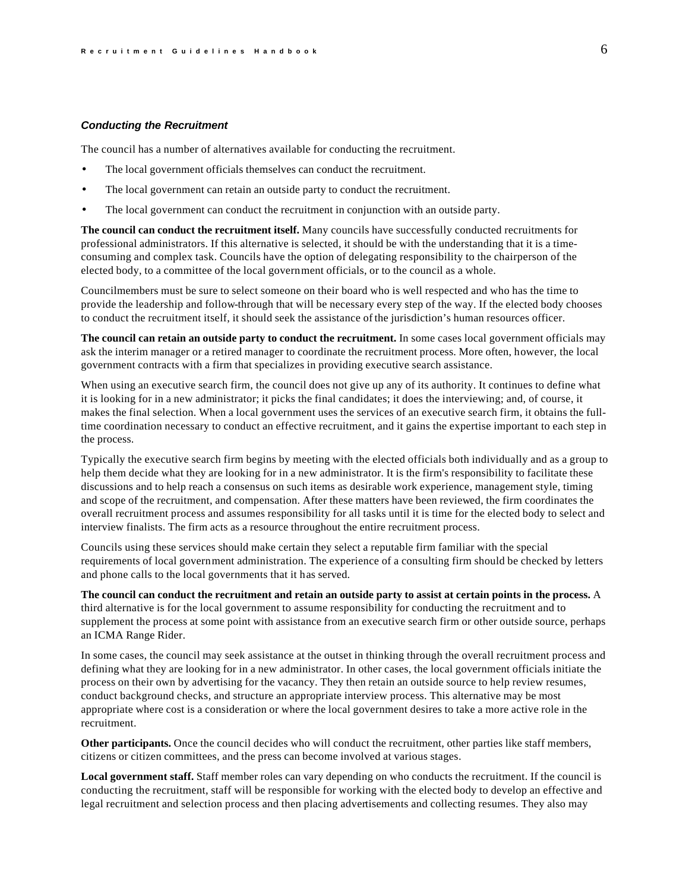#### <span id="page-6-0"></span>*Conducting the Recruitment*

The council has a number of alternatives available for conducting the recruitment.

- The local government officials themselves can conduct the recruitment.
- The local government can retain an outside party to conduct the recruitment.
- The local government can conduct the recruitment in conjunction with an outside party.

**The council can conduct the recruitment itself.** Many councils have successfully conducted recruitments for professional administrators. If this alternative is selected, it should be with the understanding that it is a timeconsuming and complex task. Councils have the option of delegating responsibility to the chairperson of the elected body, to a committee of the local government officials, or to the council as a whole.

Councilmembers must be sure to select someone on their board who is well respected and who has the time to provide the leadership and follow-through that will be necessary every step of the way. If the elected body chooses to conduct the recruitment itself, it should seek the assistance of the jurisdiction's human resources officer.

**The council can retain an outside party to conduct the recruitment.** In some cases local government officials may ask the interim manager or a retired manager to coordinate the recruitment process. More often, however, the local government contracts with a firm that specializes in providing executive search assistance.

When using an executive search firm, the council does not give up any of its authority. It continues to define what it is looking for in a new administrator; it picks the final candidates; it does the interviewing; and, of course, it makes the final selection. When a local government uses the services of an executive search firm, it obtains the fulltime coordination necessary to conduct an effective recruitment, and it gains the expertise important to each step in the process.

Typically the executive search firm begins by meeting with the elected officials both individually and as a group to help them decide what they are looking for in a new administrator. It is the firm's responsibility to facilitate these discussions and to help reach a consensus on such items as desirable work experience, management style, timing and scope of the recruitment, and compensation. After these matters have been reviewed, the firm coordinates the overall recruitment process and assumes responsibility for all tasks until it is time for the elected body to select and interview finalists. The firm acts as a resource throughout the entire recruitment process.

Councils using these services should make certain they select a reputable firm familiar with the special requirements of local government administration. The experience of a consulting firm should be checked by letters and phone calls to the local governments that it has served.

**The council can conduct the recruitment and retain an outside party to assist at certain points in the process.** A third alternative is for the local government to assume responsibility for conducting the recruitment and to supplement the process at some point with assistance from an executive search firm or other outside source, perhaps an ICMA Range Rider.

In some cases, the council may seek assistance at the outset in thinking through the overall recruitment process and defining what they are looking for in a new administrator. In other cases, the local government officials initiate the process on their own by advertising for the vacancy. They then retain an outside source to help review resumes, conduct background checks, and structure an appropriate interview process. This alternative may be most appropriate where cost is a consideration or where the local government desires to take a more active role in the recruitment.

**Other participants.** Once the council decides who will conduct the recruitment, other parties like staff members, citizens or citizen committees, and the press can become involved at various stages.

**Local government staff.** Staff member roles can vary depending on who conducts the recruitment. If the council is conducting the recruitment, staff will be responsible for working with the elected body to develop an effective and legal recruitment and selection process and then placing advertisements and collecting resumes. They also may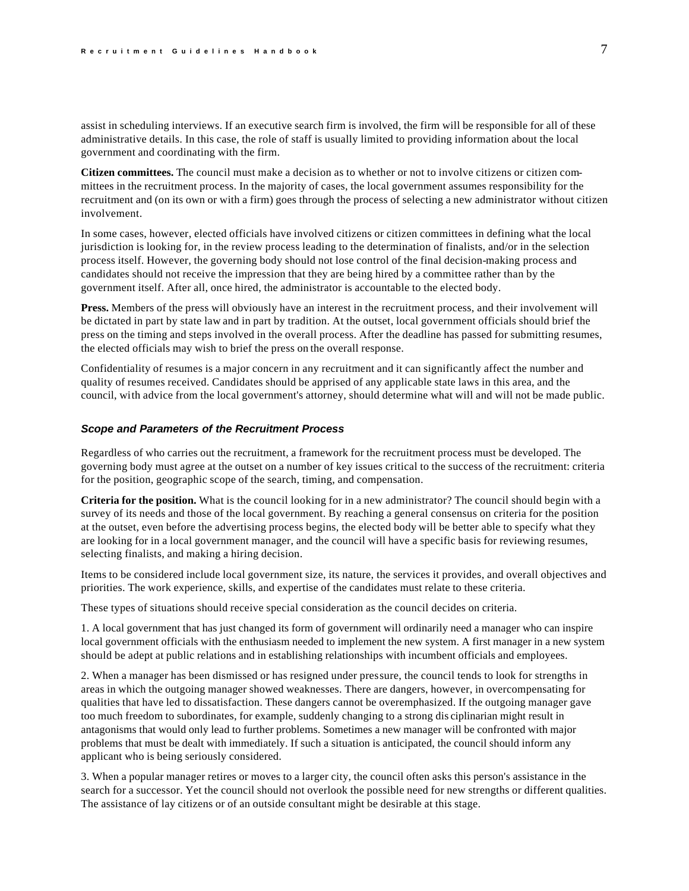<span id="page-7-0"></span>assist in scheduling interviews. If an executive search firm is involved, the firm will be responsible for all of these administrative details. In this case, the role of staff is usually limited to providing information about the local government and coordinating with the firm.

**Citizen committees.** The council must make a decision as to whether or not to involve citizens or citizen committees in the recruitment process. In the majority of cases, the local government assumes responsibility for the recruitment and (on its own or with a firm) goes through the process of selecting a new administrator without citizen involvement.

In some cases, however, elected officials have involved citizens or citizen committees in defining what the local jurisdiction is looking for, in the review process leading to the determination of finalists, and/or in the selection process itself. However, the governing body should not lose control of the final decision-making process and candidates should not receive the impression that they are being hired by a committee rather than by the government itself. After all, once hired, the administrator is accountable to the elected body.

**Press.** Members of the press will obviously have an interest in the recruitment process, and their involvement will be dictated in part by state law and in part by tradition. At the outset, local government officials should brief the press on the timing and steps involved in the overall process. After the deadline has passed for submitting resumes, the elected officials may wish to brief the press on the overall response.

Confidentiality of resumes is a major concern in any recruitment and it can significantly affect the number and quality of resumes received. Candidates should be apprised of any applicable state laws in this area, and the council, with advice from the local government's attorney, should determine what will and will not be made public.

### *Scope and Parameters of the Recruitment Process*

Regardless of who carries out the recruitment, a framework for the recruitment process must be developed. The governing body must agree at the outset on a number of key issues critical to the success of the recruitment: criteria for the position, geographic scope of the search, timing, and compensation.

**Criteria for the position.** What is the council looking for in a new administrator? The council should begin with a survey of its needs and those of the local government. By reaching a general consensus on criteria for the position at the outset, even before the advertising process begins, the elected body will be better able to specify what they are looking for in a local government manager, and the council will have a specific basis for reviewing resumes, selecting finalists, and making a hiring decision.

Items to be considered include local government size, its nature, the services it provides, and overall objectives and priorities. The work experience, skills, and expertise of the candidates must relate to these criteria.

These types of situations should receive special consideration as the council decides on criteria.

1. A local government that has just changed its form of government will ordinarily need a manager who can inspire local government officials with the enthusiasm needed to implement the new system. A first manager in a new system should be adept at public relations and in establishing relationships with incumbent officials and employees.

2. When a manager has been dismissed or has resigned under pressure, the council tends to look for strengths in areas in which the outgoing manager showed weaknesses. There are dangers, however, in overcompensating for qualities that have led to dissatisfaction. These dangers cannot be overemphasized. If the outgoing manager gave too much freedom to subordinates, for example, suddenly changing to a strong dis ciplinarian might result in antagonisms that would only lead to further problems. Sometimes a new manager will be confronted with major problems that must be dealt with immediately. If such a situation is anticipated, the council should inform any applicant who is being seriously considered.

3. When a popular manager retires or moves to a larger city, the council often asks this person's assistance in the search for a successor. Yet the council should not overlook the possible need for new strengths or different qualities. The assistance of lay citizens or of an outside consultant might be desirable at this stage.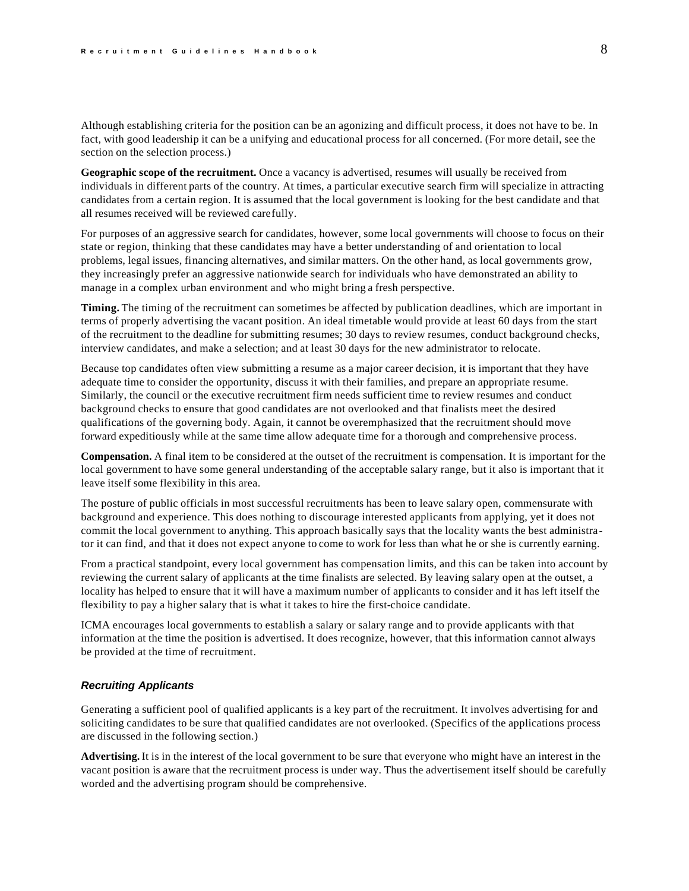<span id="page-8-0"></span>Although establishing criteria for the position can be an agonizing and difficult process, it does not have to be. In fact, with good leadership it can be a unifying and educational process for all concerned. (For more detail, see the section on the selection process.)

**Geographic scope of the recruitment.** Once a vacancy is advertised, resumes will usually be received from individuals in different parts of the country. At times, a particular executive search firm will specialize in attracting candidates from a certain region. It is assumed that the local government is looking for the best candidate and that all resumes received will be reviewed carefully.

For purposes of an aggressive search for candidates, however, some local governments will choose to focus on their state or region, thinking that these candidates may have a better understanding of and orientation to local problems, legal issues, financing alternatives, and similar matters. On the other hand, as local governments grow, they increasingly prefer an aggressive nationwide search for individuals who have demonstrated an ability to manage in a complex urban environment and who might bring a fresh perspective.

**Timing.** The timing of the recruitment can sometimes be affected by publication deadlines, which are important in terms of properly advertising the vacant position. An ideal timetable would provide at least 60 days from the start of the recruitment to the deadline for submitting resumes; 30 days to review resumes, conduct background checks, interview candidates, and make a selection; and at least 30 days for the new administrator to relocate.

Because top candidates often view submitting a resume as a major career decision, it is important that they have adequate time to consider the opportunity, discuss it with their families, and prepare an appropriate resume. Similarly, the council or the executive recruitment firm needs sufficient time to review resumes and conduct background checks to ensure that good candidates are not overlooked and that finalists meet the desired qualifications of the governing body. Again, it cannot be overemphasized that the recruitment should move forward expeditiously while at the same time allow adequate time for a thorough and comprehensive process.

**Compensation.** A final item to be considered at the outset of the recruitment is compensation. It is important for the local government to have some general understanding of the acceptable salary range, but it also is important that it leave itself some flexibility in this area.

The posture of public officials in most successful recruitments has been to leave salary open, commensurate with background and experience. This does nothing to discourage interested applicants from applying, yet it does not commit the local government to anything. This approach basically says that the locality wants the best administrator it can find, and that it does not expect anyone to come to work for less than what he or she is currently earning.

From a practical standpoint, every local government has compensation limits, and this can be taken into account by reviewing the current salary of applicants at the time finalists are selected. By leaving salary open at the outset, a locality has helped to ensure that it will have a maximum number of applicants to consider and it has left itself the flexibility to pay a higher salary that is what it takes to hire the first-choice candidate.

ICMA encourages local governments to establish a salary or salary range and to provide applicants with that information at the time the position is advertised. It does recognize, however, that this information cannot always be provided at the time of recruitment.

### *Recruiting Applicants*

Generating a sufficient pool of qualified applicants is a key part of the recruitment. It involves advertising for and soliciting candidates to be sure that qualified candidates are not overlooked. (Specifics of the applications process are discussed in the following section.)

**Advertising.** It is in the interest of the local government to be sure that everyone who might have an interest in the vacant position is aware that the recruitment process is under way. Thus the advertisement itself should be carefully worded and the advertising program should be comprehensive.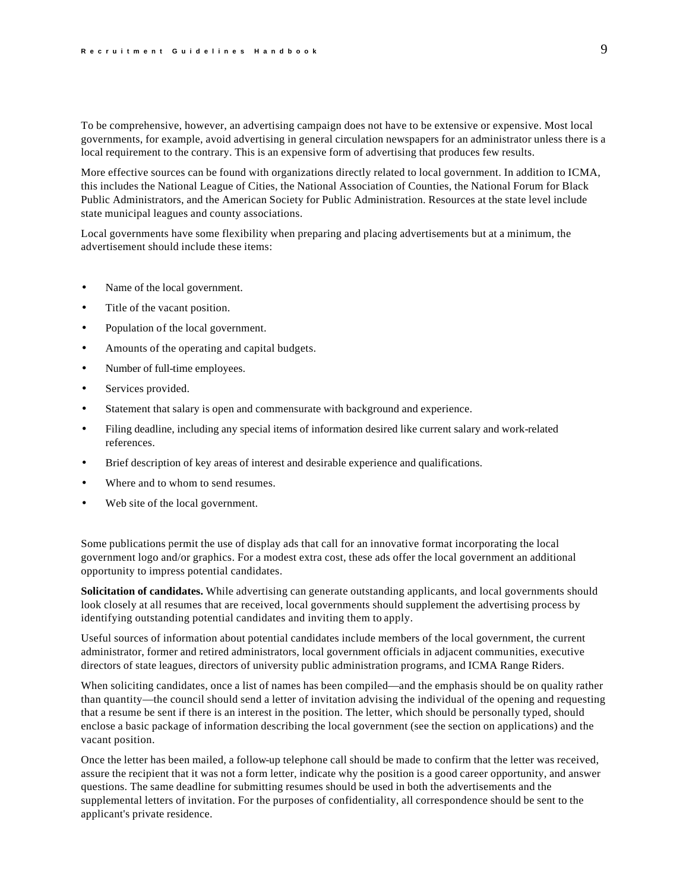To be comprehensive, however, an advertising campaign does not have to be extensive or expensive. Most local governments, for example, avoid advertising in general circulation newspapers for an administrator unless there is a local requirement to the contrary. This is an expensive form of advertising that produces few results.

More effective sources can be found with organizations directly related to local government. In addition to ICMA, this includes the National League of Cities, the National Association of Counties, the National Forum for Black Public Administrators, and the American Society for Public Administration. Resources at the state level include state municipal leagues and county associations.

Local governments have some flexibility when preparing and placing advertisements but at a minimum, the advertisement should include these items:

- Name of the local government.
- Title of the vacant position.
- Population of the local government.
- Amounts of the operating and capital budgets.
- Number of full-time employees.
- Services provided.
- Statement that salary is open and commensurate with background and experience.
- Filing deadline, including any special items of information desired like current salary and work-related references.
- Brief description of key areas of interest and desirable experience and qualifications.
- Where and to whom to send resumes.
- Web site of the local government.

Some publications permit the use of display ads that call for an innovative format incorporating the local government logo and/or graphics. For a modest extra cost, these ads offer the local government an additional opportunity to impress potential candidates.

**Solicitation of candidates.** While advertising can generate outstanding applicants, and local governments should look closely at all resumes that are received, local governments should supplement the advertising process by identifying outstanding potential candidates and inviting them to apply.

Useful sources of information about potential candidates include members of the local government, the current administrator, former and retired administrators, local government officials in adjacent communities, executive directors of state leagues, directors of university public administration programs, and ICMA Range Riders.

When soliciting candidates, once a list of names has been compiled—and the emphasis should be on quality rather than quantity—the council should send a letter of invitation advising the individual of the opening and requesting that a resume be sent if there is an interest in the position. The letter, which should be personally typed, should enclose a basic package of information describing the local government (see the section on applications) and the vacant position.

Once the letter has been mailed, a follow-up telephone call should be made to confirm that the letter was received, assure the recipient that it was not a form letter, indicate why the position is a good career opportunity, and answer questions. The same deadline for submitting resumes should be used in both the advertisements and the supplemental letters of invitation. For the purposes of confidentiality, all correspondence should be sent to the applicant's private residence.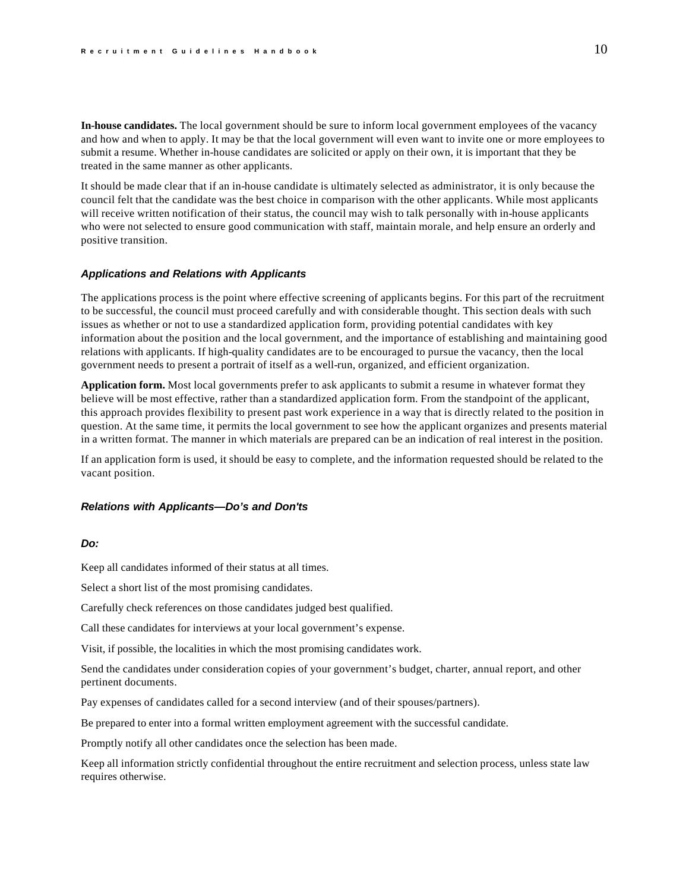<span id="page-10-0"></span>**In-house candidates.** The local government should be sure to inform local government employees of the vacancy and how and when to apply. It may be that the local government will even want to invite one or more employees to submit a resume. Whether in-house candidates are solicited or apply on their own, it is important that they be treated in the same manner as other applicants.

It should be made clear that if an in-house candidate is ultimately selected as administrator, it is only because the council felt that the candidate was the best choice in comparison with the other applicants. While most applicants will receive written notification of their status, the council may wish to talk personally with in-house applicants who were not selected to ensure good communication with staff, maintain morale, and help ensure an orderly and positive transition.

#### *Applications and Relations with Applicants*

The applications process is the point where effective screening of applicants begins. For this part of the recruitment to be successful, the council must proceed carefully and with considerable thought. This section deals with such issues as whether or not to use a standardized application form, providing potential candidates with key information about the position and the local government, and the importance of establishing and maintaining good relations with applicants. If high-quality candidates are to be encouraged to pursue the vacancy, then the local government needs to present a portrait of itself as a well-run, organized, and efficient organization.

**Application form.** Most local governments prefer to ask applicants to submit a resume in whatever format they believe will be most effective, rather than a standardized application form. From the standpoint of the applicant, this approach provides flexibility to present past work experience in a way that is directly related to the position in question. At the same time, it permits the local government to see how the applicant organizes and presents material in a written format. The manner in which materials are prepared can be an indication of real interest in the position.

If an application form is used, it should be easy to complete, and the information requested should be related to the vacant position.

#### *Relations with Applicants—Do's and Don'ts*

# *Do:*

Keep all candidates informed of their status at all times.

Select a short list of the most promising candidates.

Carefully check references on those candidates judged best qualified.

Call these candidates for interviews at your local government's expense.

Visit, if possible, the localities in which the most promising candidates work.

Send the candidates under consideration copies of your government's budget, charter, annual report, and other pertinent documents.

Pay expenses of candidates called for a second interview (and of their spouses/partners).

Be prepared to enter into a formal written employment agreement with the successful candidate.

Promptly notify all other candidates once the selection has been made.

Keep all information strictly confidential throughout the entire recruitment and selection process, unless state law requires otherwise.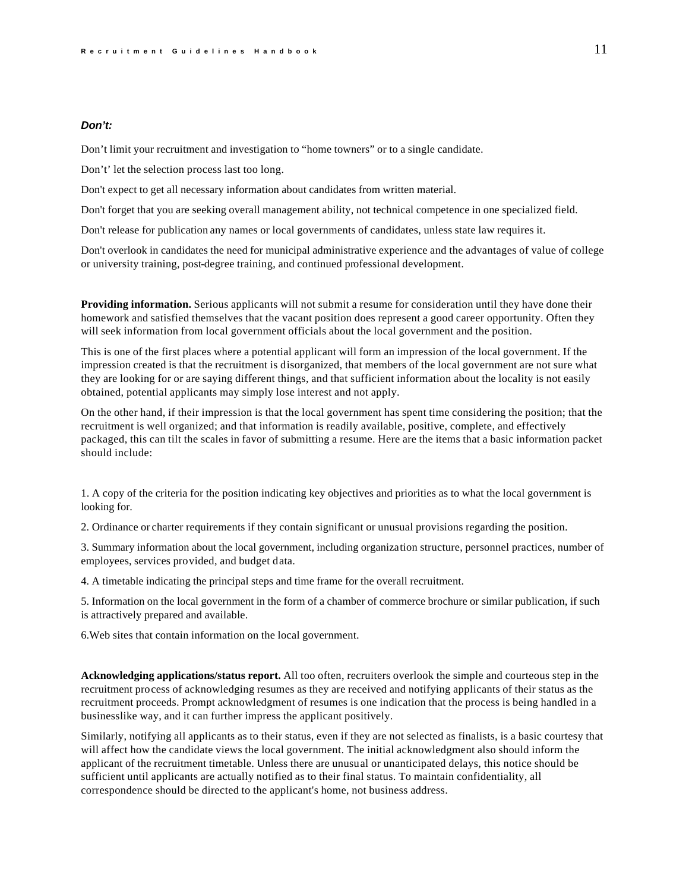### *Don't:*

Don't limit your recruitment and investigation to "home towners" or to a single candidate.

Don't' let the selection process last too long.

Don't expect to get all necessary information about candidates from written material.

Don't forget that you are seeking overall management ability, not technical competence in one specialized field.

Don't release for publication any names or local governments of candidates, unless state law requires it.

Don't overlook in candidates the need for municipal administrative experience and the advantages of value of college or university training, post-degree training, and continued professional development.

**Providing information.** Serious applicants will not submit a resume for consideration until they have done their homework and satisfied themselves that the vacant position does represent a good career opportunity. Often they will seek information from local government officials about the local government and the position.

This is one of the first places where a potential applicant will form an impression of the local government. If the impression created is that the recruitment is disorganized, that members of the local government are not sure what they are looking for or are saying different things, and that sufficient information about the locality is not easily obtained, potential applicants may simply lose interest and not apply.

On the other hand, if their impression is that the local government has spent time considering the position; that the recruitment is well organized; and that information is readily available, positive, complete, and effectively packaged, this can tilt the scales in favor of submitting a resume. Here are the items that a basic information packet should include:

1. A copy of the criteria for the position indicating key objectives and priorities as to what the local government is looking for.

2. Ordinance or charter requirements if they contain significant or unusual provisions regarding the position.

3. Summary information about the local government, including organization structure, personnel practices, number of employees, services provided, and budget data.

4. A timetable indicating the principal steps and time frame for the overall recruitment.

5. Information on the local government in the form of a chamber of commerce brochure or similar publication, if such is attractively prepared and available.

6.Web sites that contain information on the local government.

**Acknowledging applications/status report.** All too often, recruiters overlook the simple and courteous step in the recruitment process of acknowledging resumes as they are received and notifying applicants of their status as the recruitment proceeds. Prompt acknowledgment of resumes is one indication that the process is being handled in a businesslike way, and it can further impress the applicant positively.

Similarly, notifying all applicants as to their status, even if they are not selected as finalists, is a basic courtesy that will affect how the candidate views the local government. The initial acknowledgment also should inform the applicant of the recruitment timetable. Unless there are unusual or unanticipated delays, this notice should be sufficient until applicants are actually notified as to their final status. To maintain confidentiality, all correspondence should be directed to the applicant's home, not business address.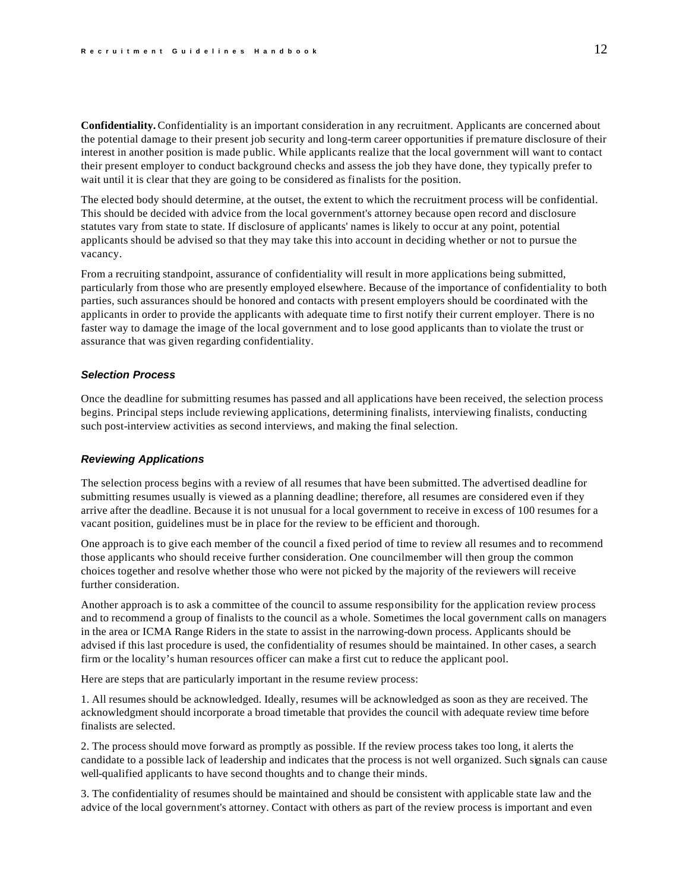<span id="page-12-0"></span>**Confidentiality.** Confidentiality is an important consideration in any recruitment. Applicants are concerned about the potential damage to their present job security and long-term career opportunities if premature disclosure of their interest in another position is made public. While applicants realize that the local government will want to contact their present employer to conduct background checks and assess the job they have done, they typically prefer to wait until it is clear that they are going to be considered as finalists for the position.

The elected body should determine, at the outset, the extent to which the recruitment process will be confidential. This should be decided with advice from the local government's attorney because open record and disclosure statutes vary from state to state. If disclosure of applicants' names is likely to occur at any point, potential applicants should be advised so that they may take this into account in deciding whether or not to pursue the vacancy.

From a recruiting standpoint, assurance of confidentiality will result in more applications being submitted, particularly from those who are presently employed elsewhere. Because of the importance of confidentiality to both parties, such assurances should be honored and contacts with present employers should be coordinated with the applicants in order to provide the applicants with adequate time to first notify their current employer. There is no faster way to damage the image of the local government and to lose good applicants than to violate the trust or assurance that was given regarding confidentiality.

### *Selection Process*

Once the deadline for submitting resumes has passed and all applications have been received, the selection process begins. Principal steps include reviewing applications, determining finalists, interviewing finalists, conducting such post-interview activities as second interviews, and making the final selection.

#### *Reviewing Applications*

The selection process begins with a review of all resumes that have been submitted. The advertised deadline for submitting resumes usually is viewed as a planning deadline; therefore, all resumes are considered even if they arrive after the deadline. Because it is not unusual for a local government to receive in excess of 100 resumes for a vacant position, guidelines must be in place for the review to be efficient and thorough.

One approach is to give each member of the council a fixed period of time to review all resumes and to recommend those applicants who should receive further consideration. One councilmember will then group the common choices together and resolve whether those who were not picked by the majority of the reviewers will receive further consideration.

Another approach is to ask a committee of the council to assume responsibility for the application review process and to recommend a group of finalists to the council as a whole. Sometimes the local government calls on managers in the area or ICMA Range Riders in the state to assist in the narrowing-down process. Applicants should be advised if this last procedure is used, the confidentiality of resumes should be maintained. In other cases, a search firm or the locality's human resources officer can make a first cut to reduce the applicant pool.

Here are steps that are particularly important in the resume review process:

1. All resumes should be acknowledged. Ideally, resumes will be acknowledged as soon as they are received. The acknowledgment should incorporate a broad timetable that provides the council with adequate review time before finalists are selected.

2. The process should move forward as promptly as possible. If the review process takes too long, it alerts the candidate to a possible lack of leadership and indicates that the process is not well organized. Such signals can cause well-qualified applicants to have second thoughts and to change their minds.

3. The confidentiality of resumes should be maintained and should be consistent with applicable state law and the advice of the local government's attorney. Contact with others as part of the review process is important and even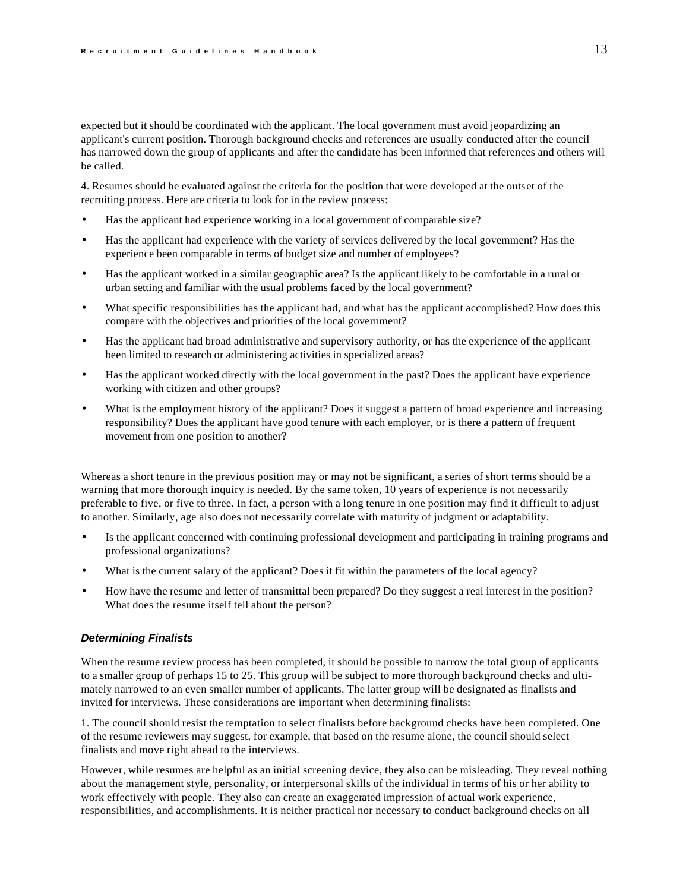<span id="page-13-0"></span>expected but it should be coordinated with the applicant. The local government must avoid jeopardizing an applicant's current position. Thorough background checks and references are usually conducted after the council has narrowed down the group of applicants and after the candidate has been informed that references and others will be called.

4. Resumes should be evaluated against the criteria for the position that were developed at the outset of the recruiting process. Here are criteria to look for in the review process:

- Has the applicant had experience working in a local government of comparable size?
- Has the applicant had experience with the variety of services delivered by the local government? Has the experience been comparable in terms of budget size and number of employees?
- Has the applicant worked in a similar geographic area? Is the applicant likely to be comfortable in a rural or urban setting and familiar with the usual problems faced by the local government?
- What specific responsibilities has the applicant had, and what has the applicant accomplished? How does this compare with the objectives and priorities of the local government?
- Has the applicant had broad administrative and supervisory authority, or has the experience of the applicant been limited to research or administering activities in specialized areas?
- Has the applicant worked directly with the local government in the past? Does the applicant have experience working with citizen and other groups?
- What is the employment history of the applicant? Does it suggest a pattern of broad experience and increasing responsibility? Does the applicant have good tenure with each employer, or is there a pattern of frequent movement from one position to another?

Whereas a short tenure in the previous position may or may not be significant, a series of short terms should be a warning that more thorough inquiry is needed. By the same token, 10 years of experience is not necessarily preferable to five, or five to three. In fact, a person with a long tenure in one position may find it difficult to adjust to another. Similarly, age also does not necessarily correlate with maturity of judgment or adaptability.

- Is the applicant concerned with continuing professional development and participating in training programs and professional organizations?
- What is the current salary of the applicant? Does it fit within the parameters of the local agency?
- How have the resume and letter of transmittal been prepared? Do they suggest a real interest in the position? What does the resume itself tell about the person?

### *Determining Finalists*

When the resume review process has been completed, it should be possible to narrow the total group of applicants to a smaller group of perhaps 15 to 25. This group will be subject to more thorough background checks and ultimately narrowed to an even smaller number of applicants. The latter group will be designated as finalists and invited for interviews. These considerations are important when determining finalists:

1. The council should resist the temptation to select finalists before background checks have been completed. One of the resume reviewers may suggest, for example, that based on the resume alone, the council should select finalists and move right ahead to the interviews.

However, while resumes are helpful as an initial screening device, they also can be misleading. They reveal nothing about the management style, personality, or interpersonal skills of the individual in terms of his or her ability to work effectively with people. They also can create an exaggerated impression of actual work experience, responsibilities, and accomplishments. It is neither practical nor necessary to conduct background checks on all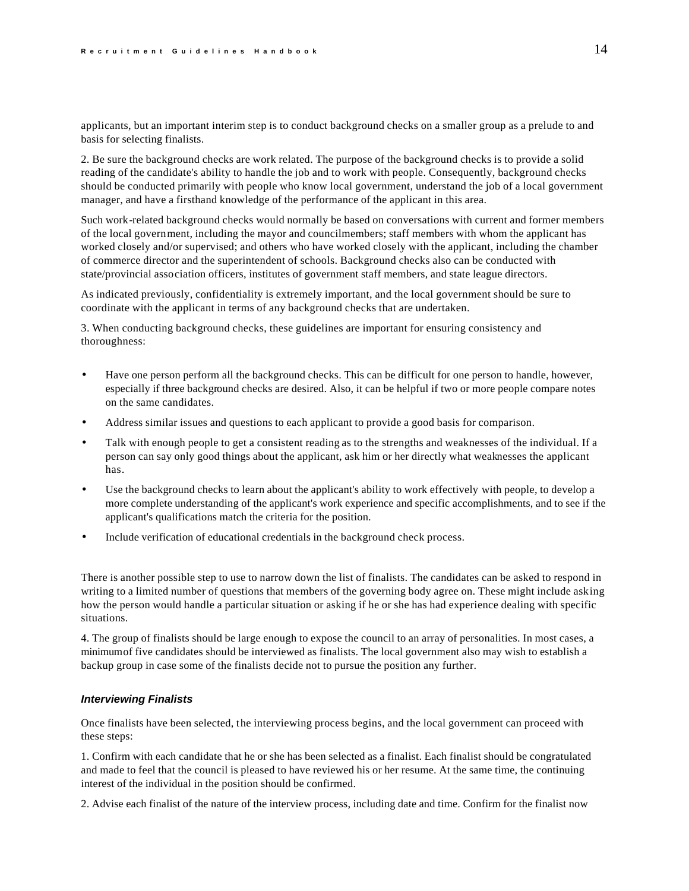<span id="page-14-0"></span>applicants, but an important interim step is to conduct background checks on a smaller group as a prelude to and basis for selecting finalists.

2. Be sure the background checks are work related. The purpose of the background checks is to provide a solid reading of the candidate's ability to handle the job and to work with people. Consequently, background checks should be conducted primarily with people who know local government, understand the job of a local government manager, and have a firsthand knowledge of the performance of the applicant in this area.

Such work-related background checks would normally be based on conversations with current and former members of the local government, including the mayor and councilmembers; staff members with whom the applicant has worked closely and/or supervised; and others who have worked closely with the applicant, including the chamber of commerce director and the superintendent of schools. Background checks also can be conducted with state/provincial association officers, institutes of government staff members, and state league directors.

As indicated previously, confidentiality is extremely important, and the local government should be sure to coordinate with the applicant in terms of any background checks that are undertaken.

3. When conducting background checks, these guidelines are important for ensuring consistency and thoroughness:

- Have one person perform all the background checks. This can be difficult for one person to handle, however, especially if three background checks are desired. Also, it can be helpful if two or more people compare notes on the same candidates.
- Address similar issues and questions to each applicant to provide a good basis for comparison.
- Talk with enough people to get a consistent reading as to the strengths and weaknesses of the individual. If a person can say only good things about the applicant, ask him or her directly what weaknesses the applicant has.
- Use the background checks to learn about the applicant's ability to work effectively with people, to develop a more complete understanding of the applicant's work experience and specific accomplishments, and to see if the applicant's qualifications match the criteria for the position.
- Include verification of educational credentials in the background check process.

There is another possible step to use to narrow down the list of finalists. The candidates can be asked to respond in writing to a limited number of questions that members of the governing body agree on. These might include asking how the person would handle a particular situation or asking if he or she has had experience dealing with specific situations.

4. The group of finalists should be large enough to expose the council to an array of personalities. In most cases, a minimum of five candidates should be interviewed as finalists. The local government also may wish to establish a backup group in case some of the finalists decide not to pursue the position any further.

# *Interviewing Finalists*

Once finalists have been selected, the interviewing process begins, and the local government can proceed with these steps:

1. Confirm with each candidate that he or she has been selected as a finalist. Each finalist should be congratulated and made to feel that the council is pleased to have reviewed his or her resume. At the same time, the continuing interest of the individual in the position should be confirmed.

2. Advise each finalist of the nature of the interview process, including date and time. Confirm for the finalist now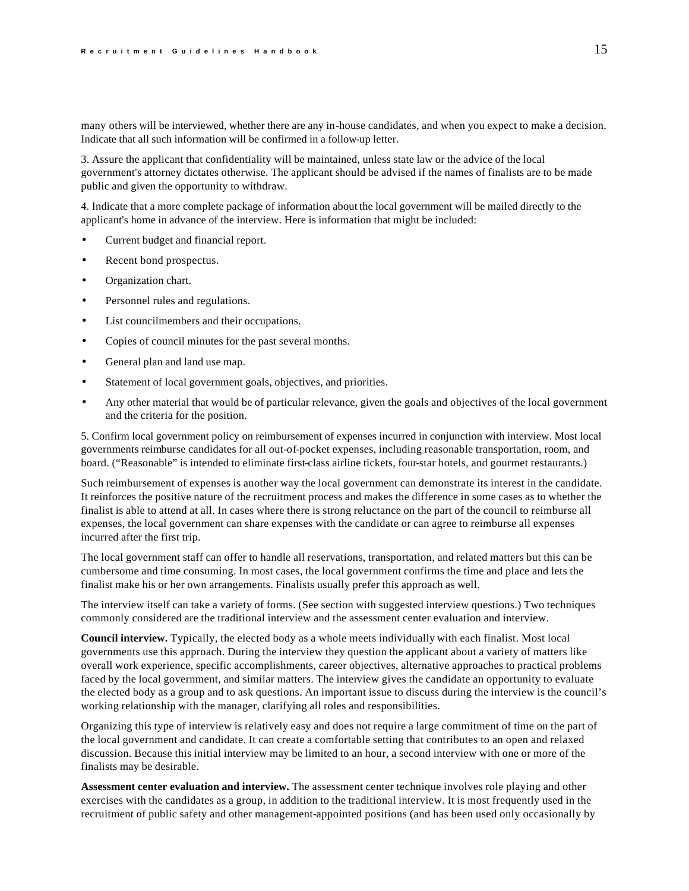many others will be interviewed, whether there are any in-house candidates, and when you expect to make a decision. Indicate that all such information will be confirmed in a follow-up letter.

3. Assure the applicant that confidentiality will be maintained, unless state law or the advice of the local government's attorney dictates otherwise. The applicant should be advised if the names of finalists are to be made public and given the opportunity to withdraw.

4. Indicate that a more complete package of information about the local government will be mailed directly to the applicant's home in advance of the interview. Here is information that might be included:

- Current budget and financial report.
- Recent bond prospectus.
- Organization chart.
- Personnel rules and regulations.
- List councilmembers and their occupations.
- Copies of council minutes for the past several months.
- General plan and land use map.
- Statement of local government goals, objectives, and priorities.
- Any other material that would be of particular relevance, given the goals and objectives of the local government and the criteria for the position.

5. Confirm local government policy on reimbursement of expenses incurred in conjunction with interview. Most local governments reimburse candidates for all out-of-pocket expenses, including reasonable transportation, room, and board. ("Reasonable" is intended to eliminate first-class airline tickets, four-star hotels, and gourmet restaurants.)

Such reimbursement of expenses is another way the local government can demonstrate its interest in the candidate. It reinforces the positive nature of the recruitment process and makes the difference in some cases as to whether the finalist is able to attend at all. In cases where there is strong reluctance on the part of the council to reimburse all expenses, the local government can share expenses with the candidate or can agree to reimburse all expenses incurred after the first trip.

The local government staff can offer to handle all reservations, transportation, and related matters but this can be cumbersome and time consuming. In most cases, the local government confirms the time and place and lets the finalist make his or her own arrangements. Finalists usually prefer this approach as well.

The interview itself can take a variety of forms. (See section with suggested interview questions.) Two techniques commonly considered are the traditional interview and the assessment center evaluation and interview.

**Council interview.** Typically, the elected body as a whole meets individually with each finalist. Most local governments use this approach. During the interview they question the applicant about a variety of matters like overall work experience, specific accomplishments, career objectives, alternative approaches to practical problems faced by the local government, and similar matters. The interview gives the candidate an opportunity to evaluate the elected body as a group and to ask questions. An important issue to discuss during the interview is the council's working relationship with the manager, clarifying all roles and responsibilities.

Organizing this type of interview is relatively easy and does not require a large commitment of time on the part of the local government and candidate. It can create a comfortable setting that contributes to an open and relaxed discussion. Because this initial interview may be limited to an hour, a second interview with one or more of the finalists may be desirable.

**Assessment center evaluation and interview.** The assessment center technique involves role playing and other exercises with the candidates as a group, in addition to the traditional interview. It is most frequently used in the recruitment of public safety and other management-appointed positions (and has been used only occasionally by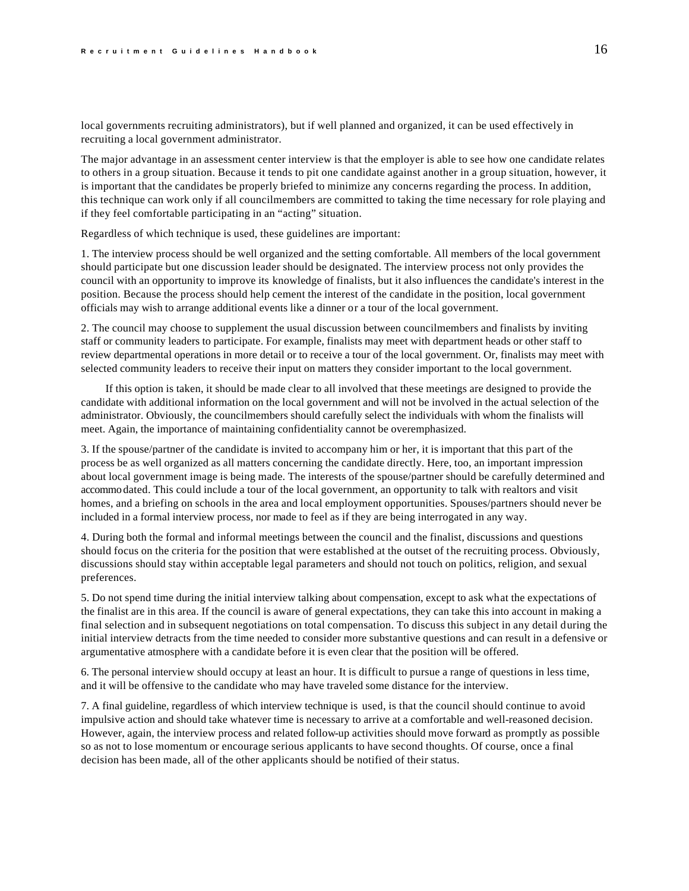local governments recruiting administrators), but if well planned and organized, it can be used effectively in recruiting a local government administrator.

The major advantage in an assessment center interview is that the employer is able to see how one candidate relates to others in a group situation. Because it tends to pit one candidate against another in a group situation, however, it is important that the candidates be properly briefed to minimize any concerns regarding the process. In addition, this technique can work only if all councilmembers are committed to taking the time necessary for role playing and if they feel comfortable participating in an "acting" situation.

Regardless of which technique is used, these guidelines are important:

1. The interview process should be well organized and the setting comfortable. All members of the local government should participate but one discussion leader should be designated. The interview process not only provides the council with an opportunity to improve its knowledge of finalists, but it also influences the candidate's interest in the position. Because the process should help cement the interest of the candidate in the position, local government officials may wish to arrange additional events like a dinner or a tour of the local government.

2. The council may choose to supplement the usual discussion between councilmembers and finalists by inviting staff or community leaders to participate. For example, finalists may meet with department heads or other staff to review departmental operations in more detail or to receive a tour of the local government. Or, finalists may meet with selected community leaders to receive their input on matters they consider important to the local government.

If this option is taken, it should be made clear to all involved that these meetings are designed to provide the candidate with additional information on the local government and will not be involved in the actual selection of the administrator. Obviously, the councilmembers should carefully select the individuals with whom the finalists will meet. Again, the importance of maintaining confidentiality cannot be overemphasized.

3. If the spouse/partner of the candidate is invited to accompany him or her, it is important that this part of the process be as well organized as all matters concerning the candidate directly. Here, too, an important impression about local government image is being made. The interests of the spouse/partner should be carefully determined and accommo dated. This could include a tour of the local government, an opportunity to talk with realtors and visit homes, and a briefing on schools in the area and local employment opportunities. Spouses/partners should never be included in a formal interview process, nor made to feel as if they are being interrogated in any way.

4. During both the formal and informal meetings between the council and the finalist, discussions and questions should focus on the criteria for the position that were established at the outset of the recruiting process. Obviously, discussions should stay within acceptable legal parameters and should not touch on politics, religion, and sexual preferences.

5. Do not spend time during the initial interview talking about compensation, except to ask what the expectations of the finalist are in this area. If the council is aware of general expectations, they can take this into account in making a final selection and in subsequent negotiations on total compensation. To discuss this subject in any detail during the initial interview detracts from the time needed to consider more substantive questions and can result in a defensive or argumentative atmosphere with a candidate before it is even clear that the position will be offered.

6. The personal interview should occupy at least an hour. It is difficult to pursue a range of questions in less time, and it will be offensive to the candidate who may have traveled some distance for the interview.

7. A final guideline, regardless of which interview technique is used, is that the council should continue to avoid impulsive action and should take whatever time is necessary to arrive at a comfortable and well-reasoned decision. However, again, the interview process and related follow-up activities should move forward as promptly as possible so as not to lose momentum or encourage serious applicants to have second thoughts. Of course, once a final decision has been made, all of the other applicants should be notified of their status.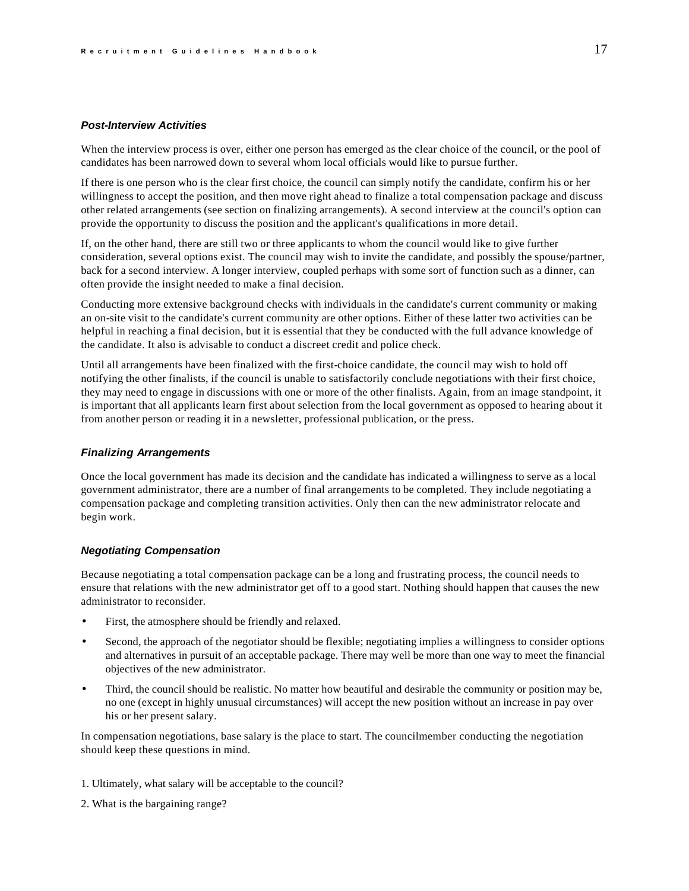### <span id="page-17-0"></span>*Post-Interview Activities*

When the interview process is over, either one person has emerged as the clear choice of the council, or the pool of candidates has been narrowed down to several whom local officials would like to pursue further.

If there is one person who is the clear first choice, the council can simply notify the candidate, confirm his or her willingness to accept the position, and then move right ahead to finalize a total compensation package and discuss other related arrangements (see section on finalizing arrangements). A second interview at the council's option can provide the opportunity to discuss the position and the applicant's qualifications in more detail.

If, on the other hand, there are still two or three applicants to whom the council would like to give further consideration, several options exist. The council may wish to invite the candidate, and possibly the spouse/partner, back for a second interview. A longer interview, coupled perhaps with some sort of function such as a dinner, can often provide the insight needed to make a final decision.

Conducting more extensive background checks with individuals in the candidate's current community or making an on-site visit to the candidate's current community are other options. Either of these latter two activities can be helpful in reaching a final decision, but it is essential that they be conducted with the full advance knowledge of the candidate. It also is advisable to conduct a discreet credit and police check.

Until all arrangements have been finalized with the first-choice candidate, the council may wish to hold off notifying the other finalists, if the council is unable to satisfactorily conclude negotiations with their first choice, they may need to engage in discussions with one or more of the other finalists. Again, from an image standpoint, it is important that all applicants learn first about selection from the local government as opposed to hearing about it from another person or reading it in a newsletter, professional publication, or the press.

### *Finalizing Arrangements*

Once the local government has made its decision and the candidate has indicated a willingness to serve as a local government administrator, there are a number of final arrangements to be completed. They include negotiating a compensation package and completing transition activities. Only then can the new administrator relocate and begin work.

# *Negotiating Compensation*

Because negotiating a total compensation package can be a long and frustrating process, the council needs to ensure that relations with the new administrator get off to a good start. Nothing should happen that causes the new administrator to reconsider.

- First, the atmosphere should be friendly and relaxed.
- Second, the approach of the negotiator should be flexible; negotiating implies a willingness to consider options and alternatives in pursuit of an acceptable package. There may well be more than one way to meet the financial objectives of the new administrator.
- Third, the council should be realistic. No matter how beautiful and desirable the community or position may be, no one (except in highly unusual circumstances) will accept the new position without an increase in pay over his or her present salary.

In compensation negotiations, base salary is the place to start. The councilmember conducting the negotiation should keep these questions in mind.

- 1. Ultimately, what salary will be acceptable to the council?
- 2. What is the bargaining range?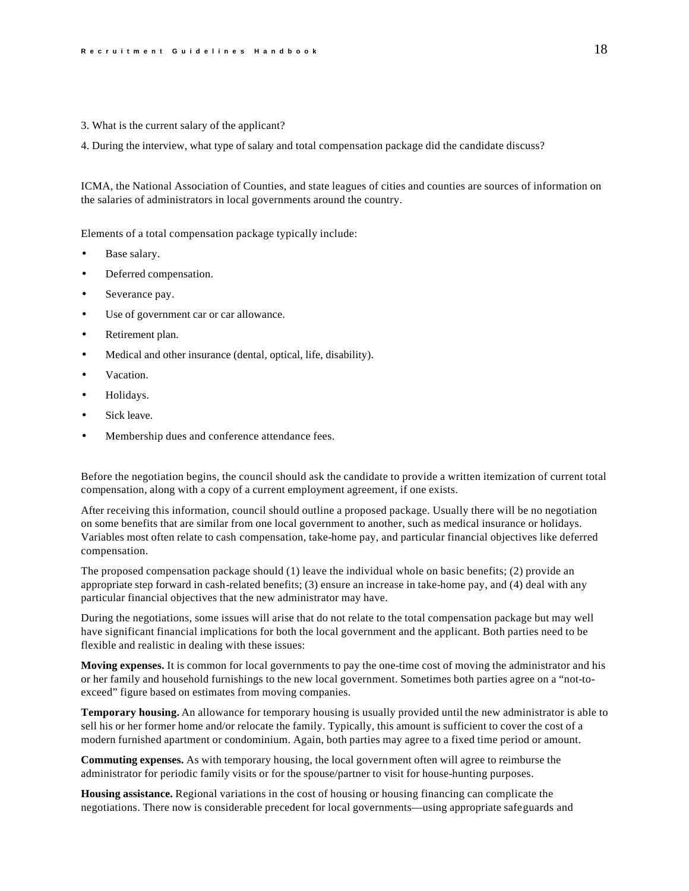3. What is the current salary of the applicant?

4. During the interview, what type of salary and total compensation package did the candidate discuss?

ICMA, the National Association of Counties, and state leagues of cities and counties are sources of information on the salaries of administrators in local governments around the country.

Elements of a total compensation package typically include:

- Base salary.
- Deferred compensation.
- Severance pay.
- Use of government car or car allowance.
- Retirement plan.
- Medical and other insurance (dental, optical, life, disability).
- Vacation.
- Holidays.
- Sick leave.
- Membership dues and conference attendance fees.

Before the negotiation begins, the council should ask the candidate to provide a written itemization of current total compensation, along with a copy of a current employment agreement, if one exists.

After receiving this information, council should outline a proposed package. Usually there will be no negotiation on some benefits that are similar from one local government to another, such as medical insurance or holidays. Variables most often relate to cash compensation, take-home pay, and particular financial objectives like deferred compensation.

The proposed compensation package should (1) leave the individual whole on basic benefits; (2) provide an appropriate step forward in cash-related benefits; (3) ensure an increase in take-home pay, and (4) deal with any particular financial objectives that the new administrator may have.

During the negotiations, some issues will arise that do not relate to the total compensation package but may well have significant financial implications for both the local government and the applicant. Both parties need to be flexible and realistic in dealing with these issues:

**Moving expenses.** It is common for local governments to pay the one-time cost of moving the administrator and his or her family and household furnishings to the new local government. Sometimes both parties agree on a "not-toexceed" figure based on estimates from moving companies.

**Temporary housing.** An allowance for temporary housing is usually provided until the new administrator is able to sell his or her former home and/or relocate the family. Typically, this amount is sufficient to cover the cost of a modern furnished apartment or condominium. Again, both parties may agree to a fixed time period or amount.

**Commuting expenses.** As with temporary housing, the local government often will agree to reimburse the administrator for periodic family visits or for the spouse/partner to visit for house-hunting purposes.

**Housing assistance.** Regional variations in the cost of housing or housing financing can complicate the negotiations. There now is considerable precedent for local governments—using appropriate safeguards and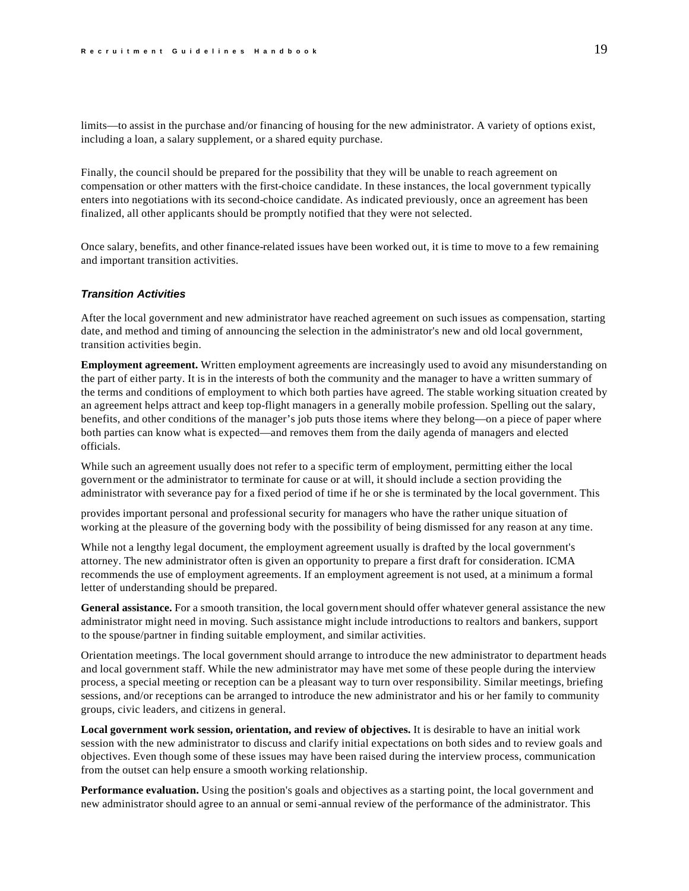<span id="page-19-0"></span>limits—to assist in the purchase and/or financing of housing for the new administrator. A variety of options exist, including a loan, a salary supplement, or a shared equity purchase.

Finally, the council should be prepared for the possibility that they will be unable to reach agreement on compensation or other matters with the first-choice candidate. In these instances, the local government typically enters into negotiations with its second-choice candidate. As indicated previously, once an agreement has been finalized, all other applicants should be promptly notified that they were not selected.

Once salary, benefits, and other finance-related issues have been worked out, it is time to move to a few remaining and important transition activities.

### *Transition Activities*

After the local government and new administrator have reached agreement on such issues as compensation, starting date, and method and timing of announcing the selection in the administrator's new and old local government, transition activities begin.

**Employment agreement.** Written employment agreements are increasingly used to avoid any misunderstanding on the part of either party. It is in the interests of both the community and the manager to have a written summary of the terms and conditions of employment to which both parties have agreed. The stable working situation created by an agreement helps attract and keep top-flight managers in a generally mobile profession. Spelling out the salary, benefits, and other conditions of the manager's job puts those items where they belong—on a piece of paper where both parties can know what is expected—and removes them from the daily agenda of managers and elected officials.

While such an agreement usually does not refer to a specific term of employment, permitting either the local government or the administrator to terminate for cause or at will, it should include a section providing the administrator with severance pay for a fixed period of time if he or she is terminated by the local government. This

provides important personal and professional security for managers who have the rather unique situation of working at the pleasure of the governing body with the possibility of being dismissed for any reason at any time.

While not a lengthy legal document, the employment agreement usually is drafted by the local government's attorney. The new administrator often is given an opportunity to prepare a first draft for consideration. ICMA recommends the use of employment agreements. If an employment agreement is not used, at a minimum a formal letter of understanding should be prepared.

**General assistance.** For a smooth transition, the local government should offer whatever general assistance the new administrator might need in moving. Such assistance might include introductions to realtors and bankers, support to the spouse/partner in finding suitable employment, and similar activities.

Orientation meetings. The local government should arrange to introduce the new administrator to department heads and local government staff. While the new administrator may have met some of these people during the interview process, a special meeting or reception can be a pleasant way to turn over responsibility. Similar meetings, briefing sessions, and/or receptions can be arranged to introduce the new administrator and his or her family to community groups, civic leaders, and citizens in general.

**Local government work session, orientation, and review of objectives.** It is desirable to have an initial work session with the new administrator to discuss and clarify initial expectations on both sides and to review goals and objectives. Even though some of these issues may have been raised during the interview process, communication from the outset can help ensure a smooth working relationship.

**Performance evaluation.** Using the position's goals and objectives as a starting point, the local government and new administrator should agree to an annual or semi-annual review of the performance of the administrator. This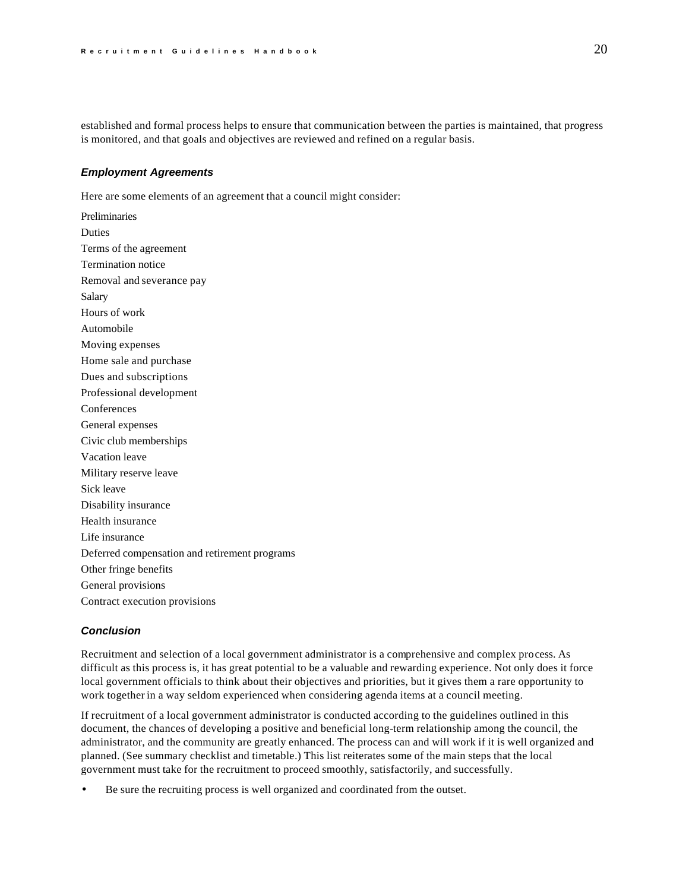<span id="page-20-0"></span>established and formal process helps to ensure that communication between the parties is maintained, that progress is monitored, and that goals and objectives are reviewed and refined on a regular basis.

# *Employment Agreements*

Here are some elements of an agreement that a council might consider:

Preliminaries Duties Terms of the agreement Termination notice Removal and severance pay Salary Hours of work Automobile Moving expenses Home sale and purchase Dues and subscriptions Professional development Conferences General expenses Civic club memberships Vacation leave Military reserve leave Sick leave Disability insurance Health insurance Life insurance Deferred compensation and retirement programs Other fringe benefits General provisions Contract execution provisions

# *Conclusion*

Recruitment and selection of a local government administrator is a comprehensive and complex process. As difficult as this process is, it has great potential to be a valuable and rewarding experience. Not only does it force local government officials to think about their objectives and priorities, but it gives them a rare opportunity to work together in a way seldom experienced when considering agenda items at a council meeting.

If recruitment of a local government administrator is conducted according to the guidelines outlined in this document, the chances of developing a positive and beneficial long-term relationship among the council, the administrator, and the community are greatly enhanced. The process can and will work if it is well organized and planned. (See summary checklist and timetable.) This list reiterates some of the main steps that the local government must take for the recruitment to proceed smoothly, satisfactorily, and successfully.

Be sure the recruiting process is well organized and coordinated from the outset.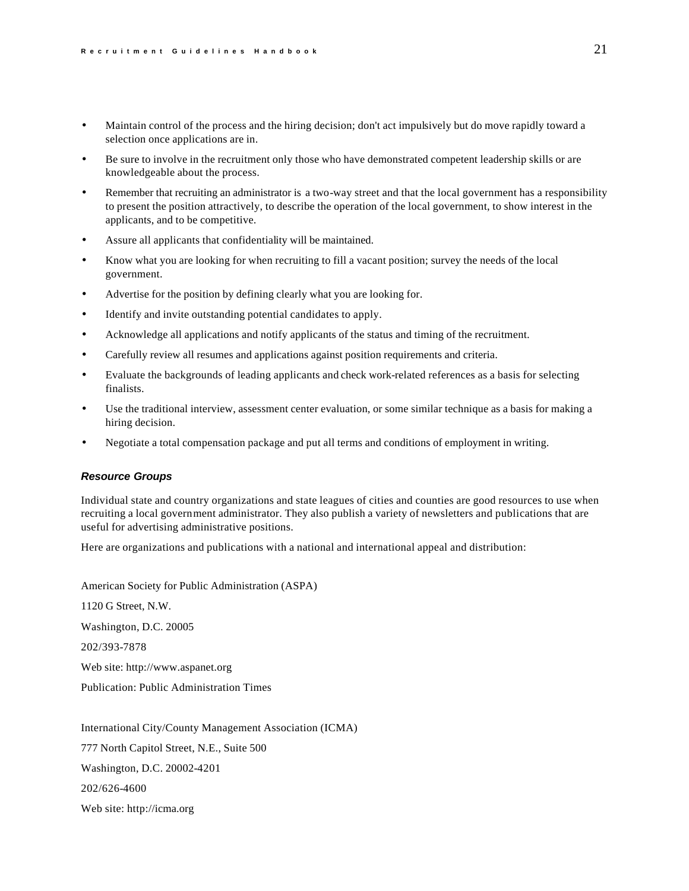- <span id="page-21-0"></span>• Maintain control of the process and the hiring decision; don't act impulsively but do move rapidly toward a selection once applications are in.
- Be sure to involve in the recruitment only those who have demonstrated competent leadership skills or are knowledgeable about the process.
- Remember that recruiting an administrator is a two-way street and that the local government has a responsibility to present the position attractively, to describe the operation of the local government, to show interest in the applicants, and to be competitive.
- Assure all applicants that confidentiality will be maintained.
- Know what you are looking for when recruiting to fill a vacant position; survey the needs of the local government.
- Advertise for the position by defining clearly what you are looking for.
- Identify and invite outstanding potential candidates to apply.
- Acknowledge all applications and notify applicants of the status and timing of the recruitment.
- Carefully review all resumes and applications against position requirements and criteria.
- Evaluate the backgrounds of leading applicants and check work-related references as a basis for selecting finalists.
- Use the traditional interview, assessment center evaluation, or some similar technique as a basis for making a hiring decision.
- Negotiate a total compensation package and put all terms and conditions of employment in writing.

### *Resource Groups*

Individual state and country organizations and state leagues of cities and counties are good resources to use when recruiting a local government administrator. They also publish a variety of newsletters and publications that are useful for advertising administrative positions.

Here are organizations and publications with a national and international appeal and distribution:

American Society for Public Administration (ASPA) 1120 G Street, N.W. Washington, D.C. 20005 202/393-7878 Web site: http://www.aspanet.org Publication: Public Administration Times

International City/County Management Association (ICMA) 777 North Capitol Street, N.E., Suite 500 Washington, D.C. 20002-4201 202/626-4600 Web site: http://icma.org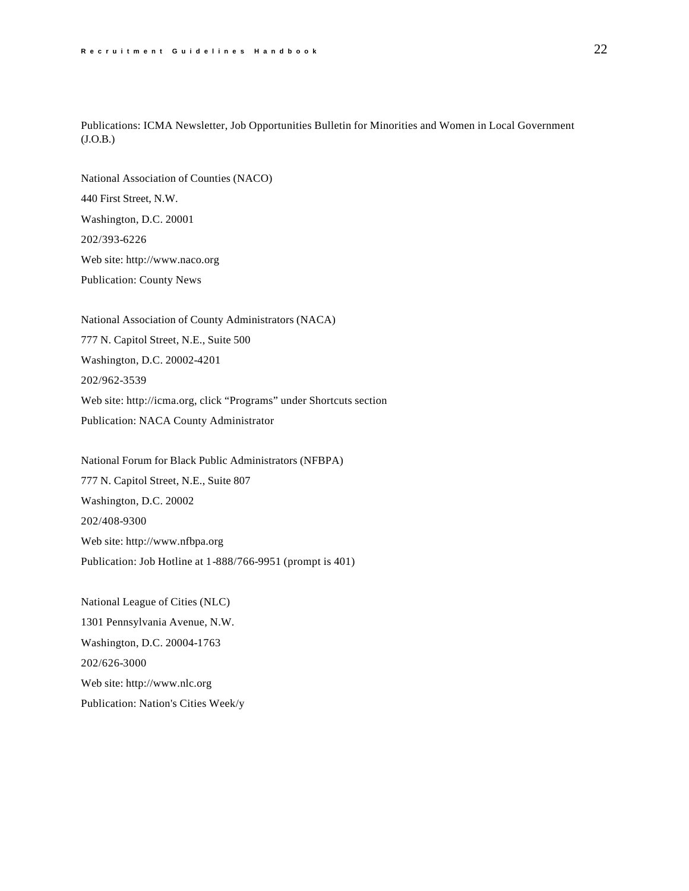Publications: ICMA Newsletter, Job Opportunities Bulletin for Minorities and Women in Local Government (J.O.B.)

National Association of Counties (NACO) 440 First Street, N.W. Washington, D.C. 20001 202/393-6226 Web site: http://www.naco.org Publication: County News

National Association of County Administrators (NACA) 777 N. Capitol Street, N.E., Suite 500 Washington, D.C. 20002-4201 202/962-3539 Web site: http://icma.org, click "Programs" under Shortcuts section Publication: NACA County Administrator

National Forum for Black Public Administrators (NFBPA) 777 N. Capitol Street, N.E., Suite 807 Washington, D.C. 20002 202/408-9300 Web site: http://www.nfbpa.org Publication: Job Hotline at 1-888/766-9951 (prompt is 401)

National League of Cities (NLC) 1301 Pennsylvania Avenue, N.W. Washington, D.C. 20004-1763 202/626-3000 Web site: http://www.nlc.org Publication: Nation's Cities Week/y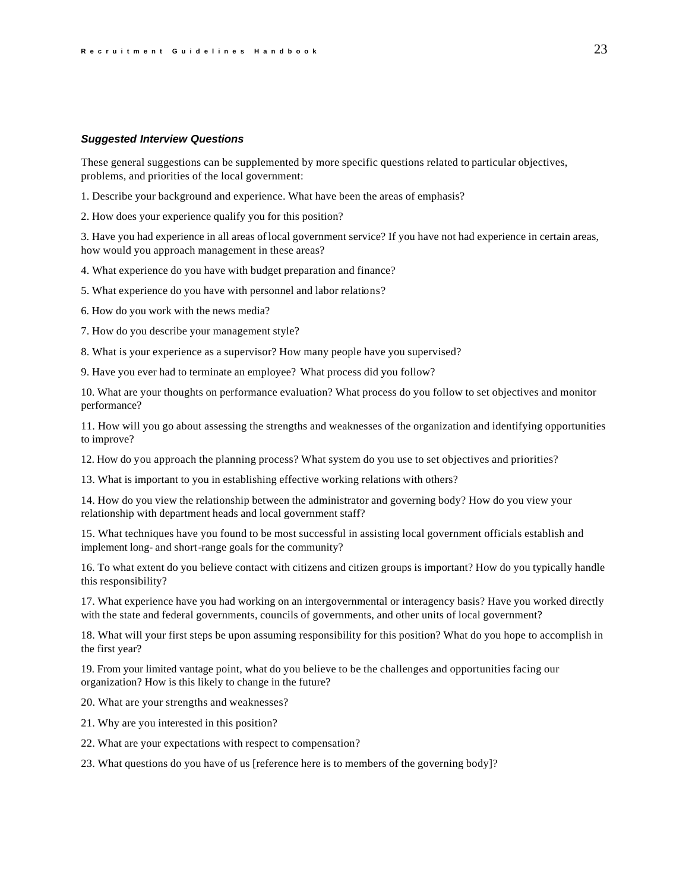#### <span id="page-23-0"></span>*Suggested Interview Questions*

These general suggestions can be supplemented by more specific questions related to particular objectives, problems, and priorities of the local government:

1. Describe your background and experience. What have been the areas of emphasis?

2. How does your experience qualify you for this position?

3. Have you had experience in all areas of local government service? If you have not had experience in certain areas, how would you approach management in these areas?

4. What experience do you have with budget preparation and finance?

5. What experience do you have with personnel and labor relations?

6. How do you work with the news media?

7. How do you describe your management style?

8. What is your experience as a supervisor? How many people have you supervised?

9. Have you ever had to terminate an employee? What process did you follow?

10. What are your thoughts on performance evaluation? What process do you follow to set objectives and monitor performance?

11. How will you go about assessing the strengths and weaknesses of the organization and identifying opportunities to improve?

12. How do you approach the planning process? What system do you use to set objectives and priorities?

13. What is important to you in establishing effective working relations with others?

14. How do you view the relationship between the administrator and governing body? How do you view your relationship with department heads and local government staff?

15. What techniques have you found to be most successful in assisting local government officials establish and implement long- and short-range goals for the community?

16. To what extent do you believe contact with citizens and citizen groups is important? How do you typically handle this responsibility?

17. What experience have you had working on an intergovernmental or interagency basis? Have you worked directly with the state and federal governments, councils of governments, and other units of local government?

18. What will your first steps be upon assuming responsibility for this position? What do you hope to accomplish in the first year?

19. From your limited vantage point, what do you believe to be the challenges and opportunities facing our organization? How is this likely to change in the future?

20. What are your strengths and weaknesses?

21. Why are you interested in this position?

22. What are your expectations with respect to compensation?

23. What questions do you have of us [reference here is to members of the governing body]?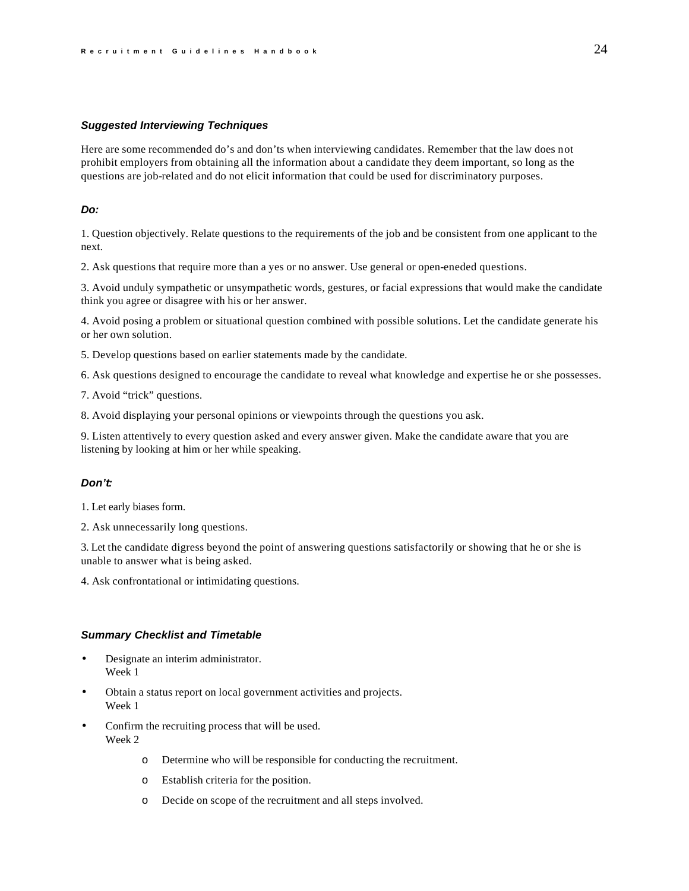### <span id="page-24-0"></span>*Suggested Interviewing Techniques*

Here are some recommended do's and don'ts when interviewing candidates. Remember that the law does not prohibit employers from obtaining all the information about a candidate they deem important, so long as the questions are job-related and do not elicit information that could be used for discriminatory purposes.

# *Do:*

1. Question objectively. Relate questions to the requirements of the job and be consistent from one applicant to the next.

2. Ask questions that require more than a yes or no answer. Use general or open-eneded questions.

3. Avoid unduly sympathetic or unsympathetic words, gestures, or facial expressions that would make the candidate think you agree or disagree with his or her answer.

4. Avoid posing a problem or situational question combined with possible solutions. Let the candidate generate his or her own solution.

5. Develop questions based on earlier statements made by the candidate.

6. Ask questions designed to encourage the candidate to reveal what knowledge and expertise he or she possesses.

7. Avoid "trick" questions.

8. Avoid displaying your personal opinions or viewpoints through the questions you ask.

9. Listen attentively to every question asked and every answer given. Make the candidate aware that you are listening by looking at him or her while speaking.

# *Don't:*

1. Let early biases form.

2. Ask unnecessarily long questions.

3. Let the candidate digress beyond the point of answering questions satisfactorily or showing that he or she is unable to answer what is being asked.

4. Ask confrontational or intimidating questions.

### *Summary Checklist and Timetable*

- Designate an interim administrator. Week 1
- Obtain a status report on local government activities and projects. Week 1
- Confirm the recruiting process that will be used. Week 2
	- o Determine who will be responsible for conducting the recruitment.
	- o Establish criteria for the position.
	- o Decide on scope of the recruitment and all steps involved.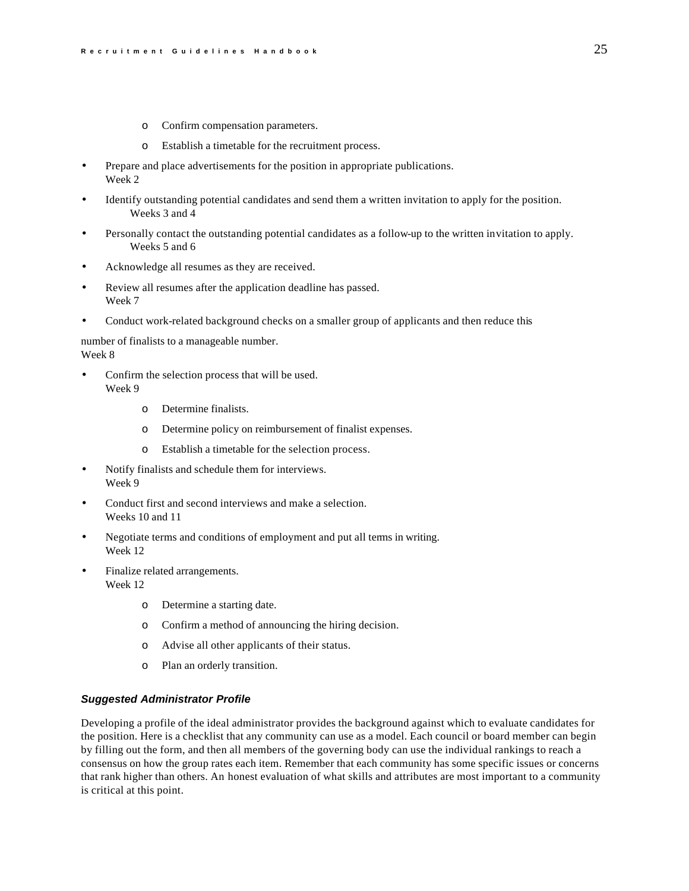- o Confirm compensation parameters.
- o Establish a timetable for the recruitment process.
- Prepare and place advertisements for the position in appropriate publications. Week 2
- Identify outstanding potential candidates and send them a written invitation to apply for the position. Weeks 3 and 4
- Personally contact the outstanding potential candidates as a follow-up to the written invitation to apply. Weeks 5 and 6
- Acknowledge all resumes as they are received.
- Review all resumes after the application deadline has passed. Week 7
- Conduct work-related background checks on a smaller group of applicants and then reduce this

number of finalists to a manageable number. Week 8

- Confirm the selection process that will be used. Week 9
	- o Determine finalists.
	- o Determine policy on reimbursement of finalist expenses.
	- o Establish a timetable for the selection process.
- Notify finalists and schedule them for interviews. Week 9
- Conduct first and second interviews and make a selection. Weeks 10 and 11
- Negotiate terms and conditions of employment and put all terms in writing. Week 12
- Finalize related arrangements. Week 12
	- o Determine a starting date.
	- o Confirm a method of announcing the hiring decision.
	- o Advise all other applicants of their status.
	- o Plan an orderly transition.

# *Suggested Administrator Profile*

Developing a profile of the ideal administrator provides the background against which to evaluate candidates for the position. Here is a checklist that any community can use as a model. Each council or board member can begin by filling out the form, and then all members of the governing body can use the individual rankings to reach a consensus on how the group rates each item. Remember that each community has some specific issues or concerns that rank higher than others. An honest evaluation of what skills and attributes are most important to a community is critical at this point.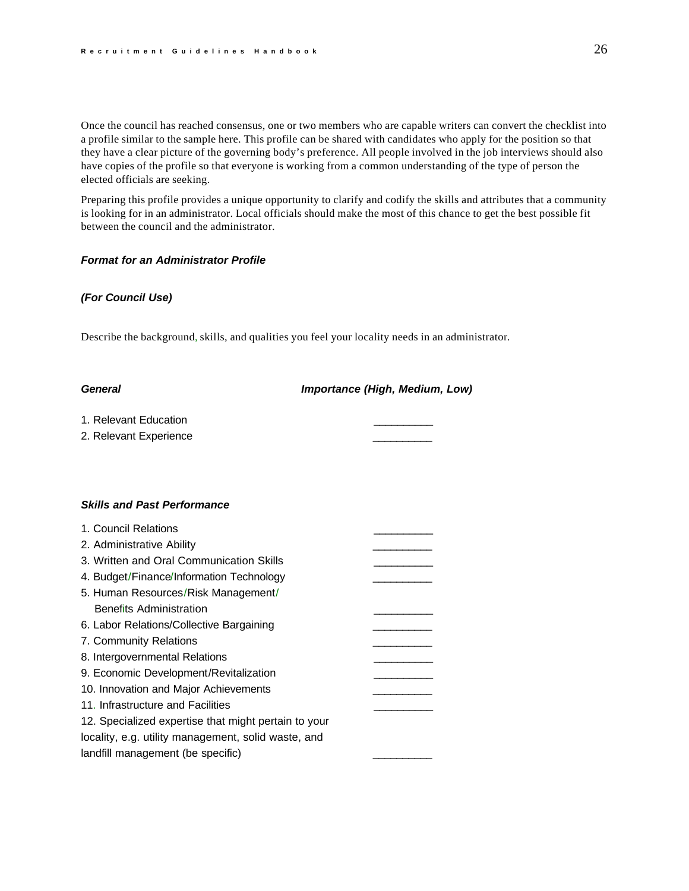<span id="page-26-0"></span>Once the council has reached consensus, one or two members who are capable writers can convert the checklist into a profile similar to the sample here. This profile can be shared with candidates who apply for the position so that they have a clear picture of the governing body's preference. All people involved in the job interviews should also have copies of the profile so that everyone is working from a common understanding of the type of person the elected officials are seeking.

Preparing this profile provides a unique opportunity to clarify and codify the skills and attributes that a community is looking for in an administrator. Local officials should make the most of this chance to get the best possible fit between the council and the administrator.

# *Format for an Administrator Profile*

# *(For Council Use)*

Describe the background, skills, and qualities you feel your locality needs in an administrator.

| ieneral |  |
|---------|--|
|---------|--|

# *General**Importance (High, Medium, Low)*

1. Relevant Education

2. Relevant Experience

### *Skills and Past Performance*

| 1. Council Relations                                 |  |
|------------------------------------------------------|--|
| 2. Administrative Ability                            |  |
| 3. Written and Oral Communication Skills             |  |
| 4. Budget/Finance/Information Technology             |  |
| 5. Human Resources/Risk Management/                  |  |
| <b>Benefits Administration</b>                       |  |
| 6. Labor Relations/Collective Bargaining             |  |
| 7. Community Relations                               |  |
| 8. Intergovernmental Relations                       |  |
| 9. Economic Development/Revitalization               |  |
| 10. Innovation and Major Achievements                |  |
| 11. Infrastructure and Facilities                    |  |
| 12. Specialized expertise that might pertain to your |  |
| locality, e.g. utility management, solid waste, and  |  |
| landfill management (be specific)                    |  |